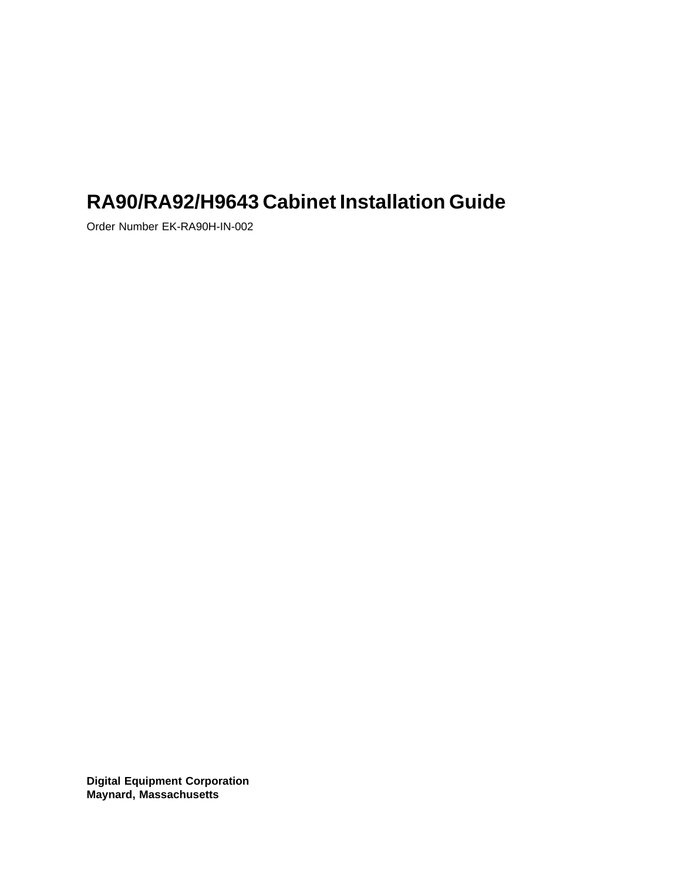# **RA90/RA92/H9643 Cabinet Installation Guide**

Order Number EK-RA90H-IN-002

**Digital Equipment Corporation Maynard, Massachusetts**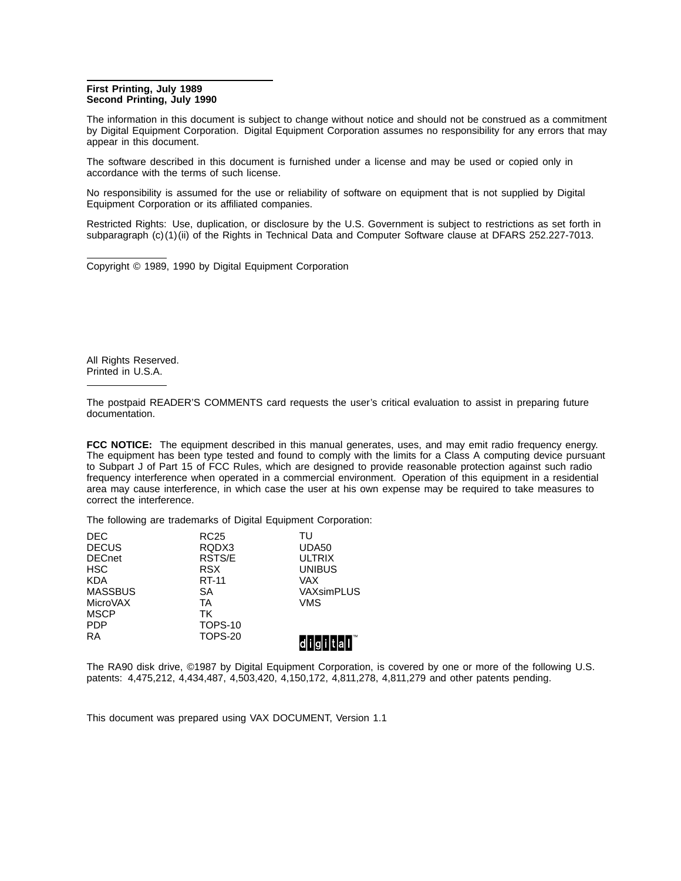#### **First Printing, July 1989 Second Printing, July 1990**

The information in this document is subject to change without notice and should not be construed as a commitment by Digital Equipment Corporation. Digital Equipment Corporation assumes no responsibility for any errors that may appear in this document.

The software described in this document is furnished under a license and may be used or copied only in accordance with the terms of such license.

No responsibility is assumed for the use or reliability of software on equipment that is not supplied by Digital Equipment Corporation or its affiliated companies.

Restricted Rights: Use, duplication, or disclosure by the U.S. Government is subject to restrictions as set forth in subparagraph (c)(1)(ii) of the Rights in Technical Data and Computer Software clause at DFARS 252.227-7013.

Copyright © 1989, 1990 by Digital Equipment Corporation

All Rights Reserved. Printed in U.S.A.

The postpaid READER'S COMMENTS card requests the user's critical evaluation to assist in preparing future documentation.

**FCC NOTICE:** The equipment described in this manual generates, uses, and may emit radio frequency energy. The equipment has been type tested and found to comply with the limits for a Class A computing device pursuant to Subpart J of Part 15 of FCC Rules, which are designed to provide reasonable protection against such radio frequency interference when operated in a commercial environment. Operation of this equipment in a residential area may cause interference, in which case the user at his own expense may be required to take measures to correct the interference.

The following are trademarks of Digital Equipment Corporation:

| <b>DEC</b>     | <b>RC25</b>    | TU            |
|----------------|----------------|---------------|
| <b>DECUS</b>   | RQDX3          | UDA50         |
| <b>DECnet</b>  | RSTS/E         | <b>ULTRIX</b> |
| <b>HSC</b>     | <b>RSX</b>     | <b>UNIBUS</b> |
| <b>KDA</b>     | <b>RT-11</b>   | VAX           |
| <b>MASSBUS</b> | SA             | VAXsimPLUS    |
| MicroVAX       | TA             | <b>VMS</b>    |
| <b>MSCP</b>    | TK             |               |
| <b>PDP</b>     | TOPS-10        |               |
| <b>RA</b>      | <b>TOPS-20</b> |               |
|                |                |               |

The RA90 disk drive, ©1987 by Digital Equipment Corporation, is covered by one or more of the following U.S. patents: 4,475,212, 4,434,487, 4,503,420, 4,150,172, 4,811,278, 4,811,279 and other patents pending.

This document was prepared using VAX DOCUMENT, Version 1.1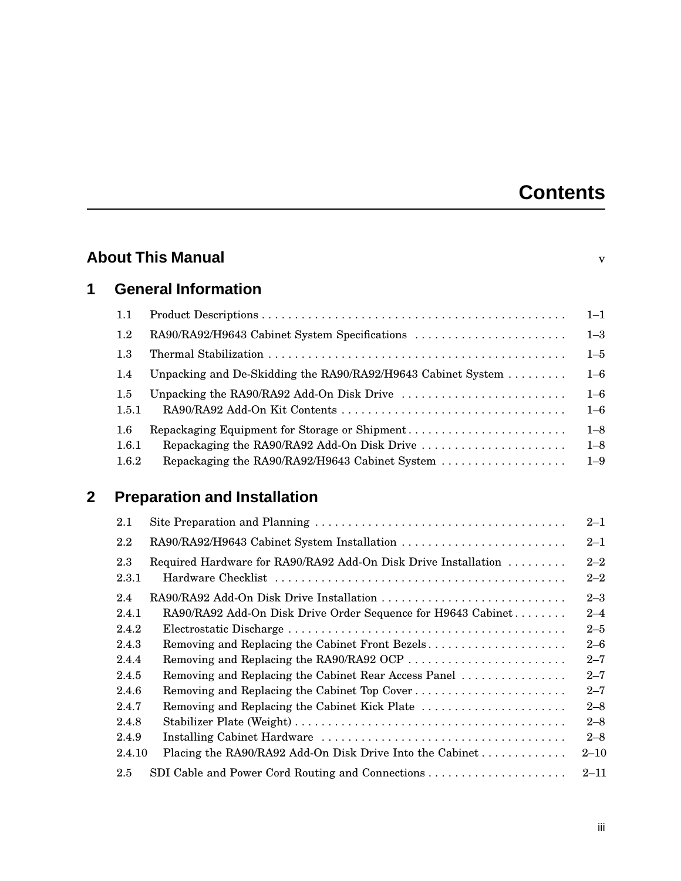# **Contents**

|             |                       | <b>About This Manual</b>                                                                                                                       | $\overline{\mathbf{V}}$       |
|-------------|-----------------------|------------------------------------------------------------------------------------------------------------------------------------------------|-------------------------------|
| 1           |                       | <b>General Information</b>                                                                                                                     |                               |
|             | 1.1                   |                                                                                                                                                | $1 - 1$                       |
|             | 1.2                   | RA90/RA92/H9643 Cabinet System Specifications                                                                                                  | $1 - 3$                       |
|             | 1.3                   |                                                                                                                                                | $1 - 5$                       |
|             | 1.4                   | Unpacking and De-Skidding the RA90/RA92/H9643 Cabinet System                                                                                   | $1 - 6$                       |
|             | 1.5<br>1.5.1          |                                                                                                                                                | $1 - 6$<br>$1 - 6$            |
|             | 1.6<br>1.6.1<br>1.6.2 | Repackaging Equipment for Storage or Shipment<br>Repackaging the RA90/RA92 Add-On Disk Drive<br>Repackaging the RA90/RA92/H9643 Cabinet System | $1 - 8$<br>$1 - 8$<br>$1 - 9$ |
| $\mathbf 2$ |                       | <b>Preparation and Installation</b>                                                                                                            |                               |
|             | 2.1                   |                                                                                                                                                | $2 - 1$                       |
|             | 2.2                   | RA90/RA92/H9643 Cabinet System Installation                                                                                                    | $2 - 1$                       |
|             | 2.3<br>2.3.1          | Required Hardware for RA90/RA92 Add-On Disk Drive Installation                                                                                 | $2 - 2$<br>$2 - 2$            |
|             | 2.4                   | RA90/RA92 Add-On Disk Drive Installation                                                                                                       | $2 - 3$                       |
|             | 2.4.1                 | RA90/RA92 Add-On Disk Drive Order Sequence for H9643 Cabinet                                                                                   | $2 - 4$                       |
|             | 2.4.2                 |                                                                                                                                                | $2 - 5$                       |
|             | 2.4.3                 | Removing and Replacing the Cabinet Front Bezels                                                                                                | $2 - 6$                       |
|             | 2.4.4<br>2.4.5        | Removing and Replacing the RA90/RA92 OCP<br>Removing and Replacing the Cabinet Rear Access Panel                                               | $2 - 7$<br>$2 - 7$            |
|             | 2.4.6                 | Removing and Replacing the Cabinet Top Cover                                                                                                   | $2 - 7$                       |
|             | 2.4.7                 | Removing and Replacing the Cabinet Kick Plate                                                                                                  | $2 - 8$                       |
|             | 2.4.8                 |                                                                                                                                                | $2 - 8$                       |
|             | 2.4.9                 |                                                                                                                                                | $2 - 8$                       |
|             | 2.4.10                | Placing the RA90/RA92 Add-On Disk Drive Into the Cabinet                                                                                       | $2 - 10$                      |
|             | 2.5                   |                                                                                                                                                | $2 - 11$                      |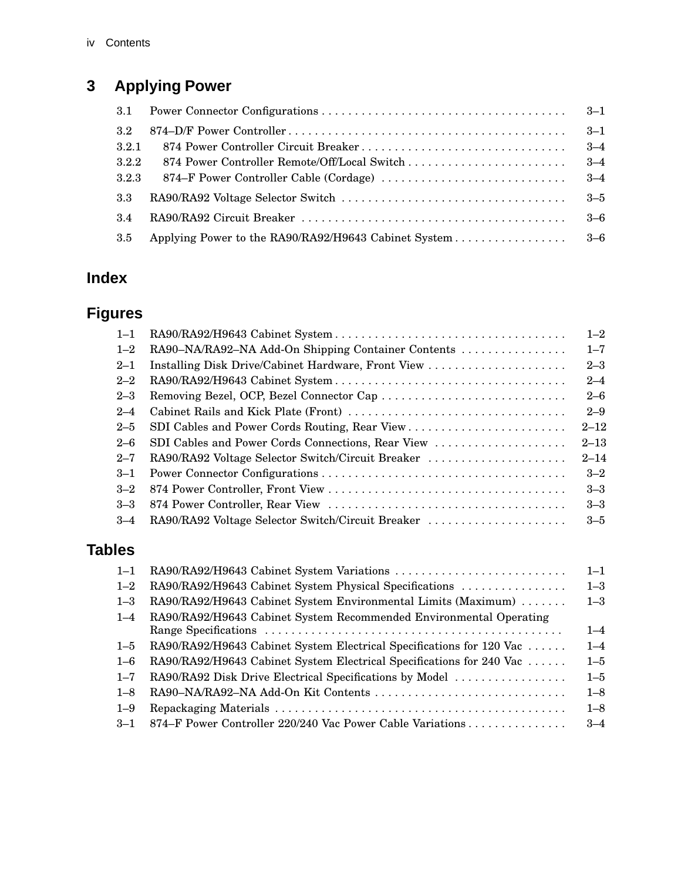# **3 Applying Power**

|       |                                                          | $3 - 1$ |
|-------|----------------------------------------------------------|---------|
| 3.2   |                                                          | $3 - 1$ |
| 3.2.1 |                                                          | $3 - 4$ |
| 3.2.2 |                                                          | $3 - 4$ |
| 3.2.3 |                                                          | $3 - 4$ |
| 3.3   |                                                          | $3 - 5$ |
| 3.4   |                                                          | $3-6$   |
| 3.5   | Applying Power to the RA90/RA92/H9643 Cabinet System 3–6 |         |

# **Index**

# **Figures**

| $1 - 1$ |                                                    | $1 - 2$  |
|---------|----------------------------------------------------|----------|
| $1 - 2$ | RA90-NA/RA92-NA Add-On Shipping Container Contents | $1 - 7$  |
| $2 - 1$ | Installing Disk Drive/Cabinet Hardware, Front View | $2 - 3$  |
| $2 - 2$ |                                                    | $2 - 4$  |
| $2 - 3$ | Removing Bezel, OCP, Bezel Connector Cap           | $2 - 6$  |
| $2 - 4$ |                                                    | $2 - 9$  |
| $2 - 5$ | SDI Cables and Power Cords Routing, Rear View      | $2 - 12$ |
| $2 - 6$ | SDI Cables and Power Cords Connections, Rear View  | $2 - 13$ |
| $2 - 7$ | RA90/RA92 Voltage Selector Switch/Circuit Breaker  | $2 - 14$ |
| $3 - 1$ |                                                    | $3 - 2$  |
| $3 - 2$ |                                                    | $3 - 3$  |
| $3 - 3$ |                                                    | $3 - 3$  |
| $3 - 4$ | RA90/RA92 Voltage Selector Switch/Circuit Breaker  | $3 - 5$  |

# **Tables**

| $1 - 3$<br>$1 - 3$ |
|--------------------|
|                    |
|                    |
|                    |
| $1 - 4$            |
| $1 - 4$            |
| $1 - 5$            |
| $1 - 5$            |
| $1 - 8$            |
| $1 - 8$            |
| $3 - 4$            |
|                    |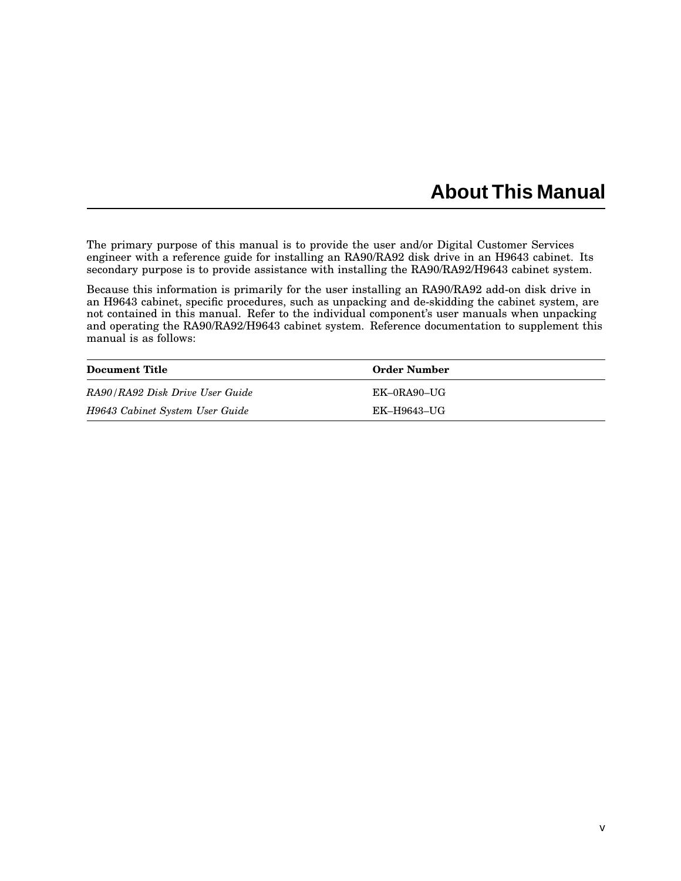# **About This Manual**

The primary purpose of this manual is to provide the user and/or Digital Customer Services engineer with a reference guide for installing an RA90/RA92 disk drive in an H9643 cabinet. Its secondary purpose is to provide assistance with installing the RA90/RA92/H9643 cabinet system.

Because this information is primarily for the user installing an RA90/RA92 add-on disk drive in an H9643 cabinet, specific procedures, such as unpacking and de-skidding the cabinet system, are not contained in this manual. Refer to the individual component's user manuals when unpacking and operating the RA90/RA92/H9643 cabinet system. Reference documentation to supplement this manual is as follows:

| <b>Document Title</b>           | <b>Order Number</b> |
|---------------------------------|---------------------|
| RA90/RA92 Disk Drive User Guide | $EK-0RA90-UG$       |
| H9643 Cabinet System User Guide | EK-H9643-UG         |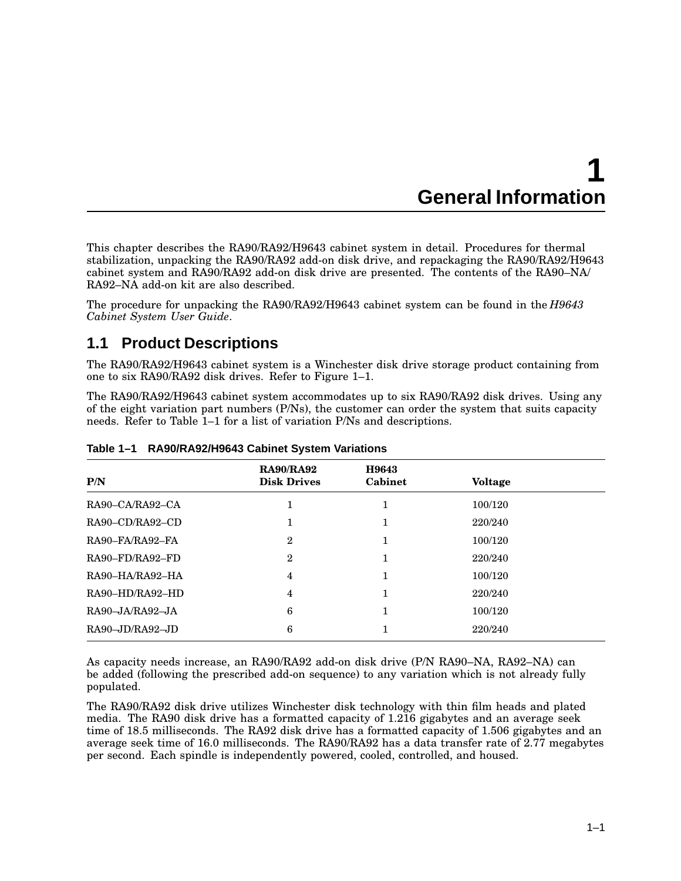# **1 General Information**

This chapter describes the RA90/RA92/H9643 cabinet system in detail. Procedures for thermal stabilization, unpacking the RA90/RA92 add-on disk drive, and repackaging the RA90/RA92/H9643 cabinet system and RA90/RA92 add-on disk drive are presented. The contents of the RA90–NA/ RA92–NA add-on kit are also described.

The procedure for unpacking the RA90/RA92/H9643 cabinet system can be found in the *H9643 Cabinet System User Guide*.

# **1.1 Product Descriptions**

The RA90/RA92/H9643 cabinet system is a Winchester disk drive storage product containing from one to six RA90/RA92 disk drives. Refer to Figure 1–1.

The RA90/RA92/H9643 cabinet system accommodates up to six RA90/RA92 disk drives. Using any of the eight variation part numbers (P/Ns), the customer can order the system that suits capacity needs. Refer to Table 1–1 for a list of variation P/Ns and descriptions.

| P/N                                        | <b>RA90/RA92</b><br><b>Disk Drives</b> | H9643<br>Cabinet | <b>Voltage</b> |  |
|--------------------------------------------|----------------------------------------|------------------|----------------|--|
| $RA90-CA/RA92-CA$                          |                                        | 1                | 100/120        |  |
| $RA90$ – $CD/RA92$ – $CD$                  | 1                                      | 1                | 220/240        |  |
| RA90-FA/RA92-FA                            | $\overline{2}$                         |                  | 100/120        |  |
| RA90-FD/RA92-FD                            | $\overline{2}$                         |                  | 220/240        |  |
| RA90-HA/RA92-HA                            | 4                                      |                  | 100/120        |  |
| RA90-HD/RA92-HD                            | 4                                      |                  | 220/240        |  |
| $RA90 - JA/RA92 - JA$                      | 6                                      | 1                | 100/120        |  |
| $RA90$ <sub>-J</sub> D/RA92 <sub>-JD</sub> | 6                                      |                  | 220/240        |  |

#### **Table 1–1 RA90/RA92/H9643 Cabinet System Variations**

As capacity needs increase, an RA90/RA92 add-on disk drive (P/N RA90–NA, RA92–NA) can be added (following the prescribed add-on sequence) to any variation which is not already fully populated.

The RA90/RA92 disk drive utilizes Winchester disk technology with thin film heads and plated media. The RA90 disk drive has a formatted capacity of 1.216 gigabytes and an average seek time of 18.5 milliseconds. The RA92 disk drive has a formatted capacity of 1.506 gigabytes and an average seek time of 16.0 milliseconds. The RA90/RA92 has a data transfer rate of 2.77 megabytes per second. Each spindle is independently powered, cooled, controlled, and housed.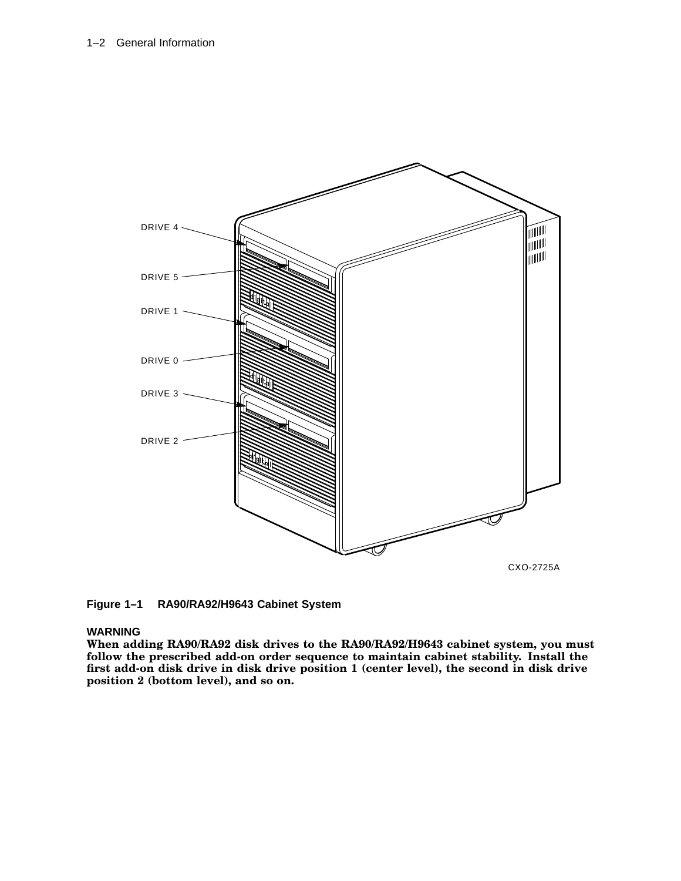

**Figure 1–1 RA90/RA92/H9643 Cabinet System**

#### **WARNING**

**When adding RA90/RA92 disk drives to the RA90/RA92/H9643 cabinet system, you must follow the prescribed add-on order sequence to maintain cabinet stability. Install the first add-on disk drive in disk drive position 1 (center level), the second in disk drive position 2 (bottom level), and so on.**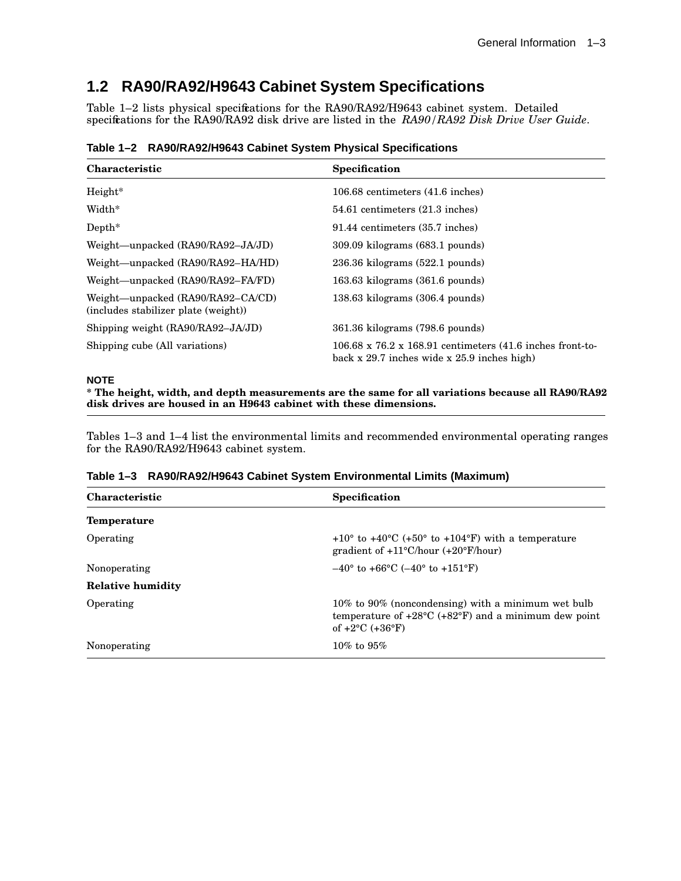# **1.2 RA90/RA92/H9643 Cabinet System Specifications**

Table 1–2 lists physical specifications for the RA90/RA92/H9643 cabinet system. Detailed specifications for the RA90/RA92 disk drive are listed in the *RA90/RA92 Disk Drive User Guide*.

|  | Table 1-2 RA90/RA92/H9643 Cabinet System Physical Specifications |  |  |  |  |
|--|------------------------------------------------------------------|--|--|--|--|
|--|------------------------------------------------------------------|--|--|--|--|

| <b>Characteristic</b>                                                     | <b>Specification</b>                                                                                                 |
|---------------------------------------------------------------------------|----------------------------------------------------------------------------------------------------------------------|
| Height*                                                                   | 106.68 centimeters (41.6 inches)                                                                                     |
| Width*                                                                    | 54.61 centimeters (21.3 inches)                                                                                      |
| $Depth^*$                                                                 | 91.44 centimeters (35.7 inches)                                                                                      |
| Weight—unpacked (RA90/RA92-JA/JD)                                         | $309.09$ kilograms $(683.1$ pounds)                                                                                  |
| Weight—unpacked (RA90/RA92-HA/HD)                                         | $236.36$ kilograms $(522.1$ pounds)                                                                                  |
| Weight—unpacked (RA90/RA92–FA/FD)                                         | $163.63$ kilograms $(361.6$ pounds)                                                                                  |
| Weight—unpacked (RA90/RA92–CA/CD)<br>(includes stabilizer plate (weight)) | $138.63$ kilograms $(306.4$ pounds)                                                                                  |
| Shipping weight (RA90/RA92-JA/JD)                                         | 361.36 kilograms (798.6 pounds)                                                                                      |
| Shipping cube (All variations)                                            | $106.68 \times 76.2 \times 168.91$ centimeters (41.6 inches front-to-<br>back x 29.7 inches wide x 25.9 inches high) |

#### **NOTE**

**\* The height, width, and depth measurements are the same for all variations because all RA90/RA92 disk drives are housed in an H9643 cabinet with these dimensions.**

Tables 1–3 and 1–4 list the environmental limits and recommended environmental operating ranges for the RA90/RA92/H9643 cabinet system.

|  | Table 1-3 RA90/RA92/H9643 Cabinet System Environmental Limits (Maximum) |  |  |  |  |  |
|--|-------------------------------------------------------------------------|--|--|--|--|--|
|--|-------------------------------------------------------------------------|--|--|--|--|--|

| <b>Characteristic</b>    | <b>Specification</b>                                                                                                                                               |
|--------------------------|--------------------------------------------------------------------------------------------------------------------------------------------------------------------|
| <b>Temperature</b>       |                                                                                                                                                                    |
| Operating                | $+10^{\circ}$ to $+40^{\circ}$ C (+50° to +104°F) with a temperature<br>gradient of $+11^{\circ}$ C/hour $(+20^{\circ}$ F/hour)                                    |
| Nonoperating             | $-40^{\circ}$ to $+66^{\circ}$ C ( $-40^{\circ}$ to $+151^{\circ}$ F)                                                                                              |
| <b>Relative humidity</b> |                                                                                                                                                                    |
| Operating                | $10\%$ to 90% (noncondensing) with a minimum wet bulb<br>temperature of $+28\textdegree C$ ( $+82\textdegree F$ ) and a minimum dew point<br>of $+2$ °C $(+36$ °F) |
| Nonoperating             | $10\%$ to $95\%$                                                                                                                                                   |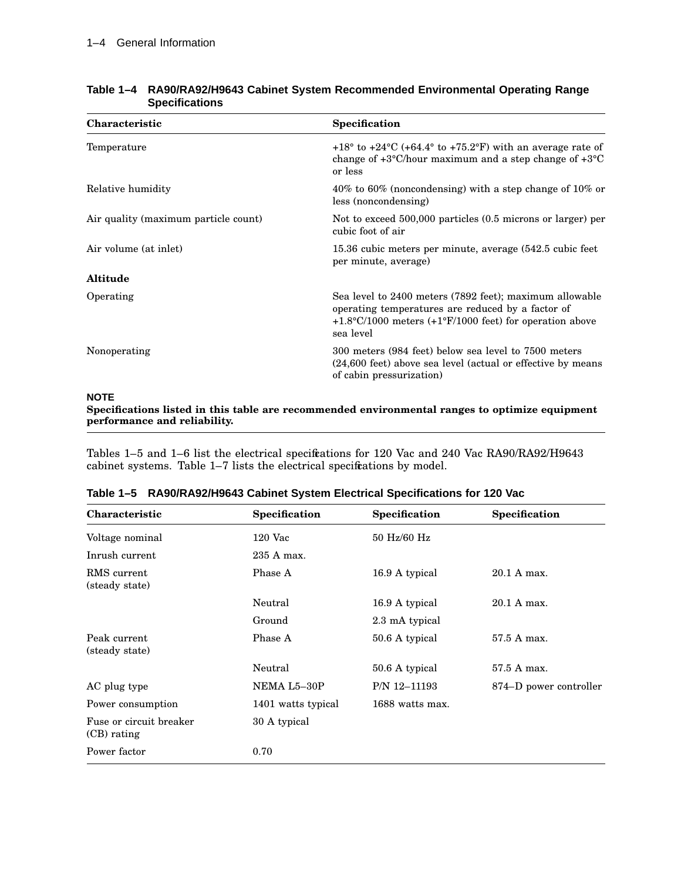| <b>Characteristic</b>                | Specification                                                                                                                                                                                           |
|--------------------------------------|---------------------------------------------------------------------------------------------------------------------------------------------------------------------------------------------------------|
| Temperature                          | $+18^{\circ}$ to $+24^{\circ}$ C (+64.4° to +75.2°F) with an average rate of<br>change of $+3^{\circ}$ C/hour maximum and a step change of $+3^{\circ}$ C<br>or less                                    |
| Relative humidity                    | 40% to 60% (noncondensing) with a step change of 10% or<br>less (noncondensing)                                                                                                                         |
| Air quality (maximum particle count) | Not to exceed 500,000 particles (0.5 microns or larger) per<br>cubic foot of air                                                                                                                        |
| Air volume (at inlet)                | 15.36 cubic meters per minute, average $(542.5 \text{ cubic feet})$<br>per minute, average)                                                                                                             |
| <b>Altitude</b>                      |                                                                                                                                                                                                         |
| Operating                            | Sea level to 2400 meters (7892 feet); maximum allowable<br>operating temperatures are reduced by a factor of<br>$+1.8\degree$ C/1000 meters (+1 $\degree$ F/1000 feet) for operation above<br>sea level |
| Nonoperating                         | 300 meters (984 feet) below sea level to 7500 meters<br>(24,600 feet) above sea level (actual or effective by means<br>of cabin pressurization)                                                         |
|                                      |                                                                                                                                                                                                         |

### **Table 1–4 RA90/RA92/H9643 Cabinet System Recommended Environmental Operating Range Specifications**

#### **NOTE**

**Specifications listed in this table are recommended environmental ranges to optimize equipment performance and reliability.**

Tables 1–5 and 1–6 list the electrical specifications for 120 Vac and 240 Vac RA90/RA92/H9643 cabinet systems. Table 1–7 lists the electrical specifications by model.

| Characteristic                         | Specification      | Specification   | Specification          |
|----------------------------------------|--------------------|-----------------|------------------------|
| Voltage nominal                        | $120$ Vac          | 50 Hz/60 Hz     |                        |
| Inrush current                         | 235 A max.         |                 |                        |
| RMS current<br>(steady state)          | Phase A            | 16.9 A typical  | 20.1 A max.            |
|                                        | Neutral            | 16.9 A typical  | 20.1 A max.            |
|                                        | Ground             | 2.3 mA typical  |                        |
| Peak current<br>(steady state)         | Phase A            | 50.6 A typical  | 57.5 A max.            |
|                                        | Neutral            | 50.6 A typical  | 57.5 A max.            |
| AC plug type                           | NEMA L5-30P        | P/N 12-11193    | 874–D power controller |
| Power consumption                      | 1401 watts typical | 1688 watts max. |                        |
| Fuse or circuit breaker<br>(CB) rating | 30 A typical       |                 |                        |
| Power factor                           | 0.70               |                 |                        |

| Table 1-5 RA90/RA92/H9643 Cabinet System Electrical Specifications for 120 Vac |  |  |  |  |  |  |
|--------------------------------------------------------------------------------|--|--|--|--|--|--|
|--------------------------------------------------------------------------------|--|--|--|--|--|--|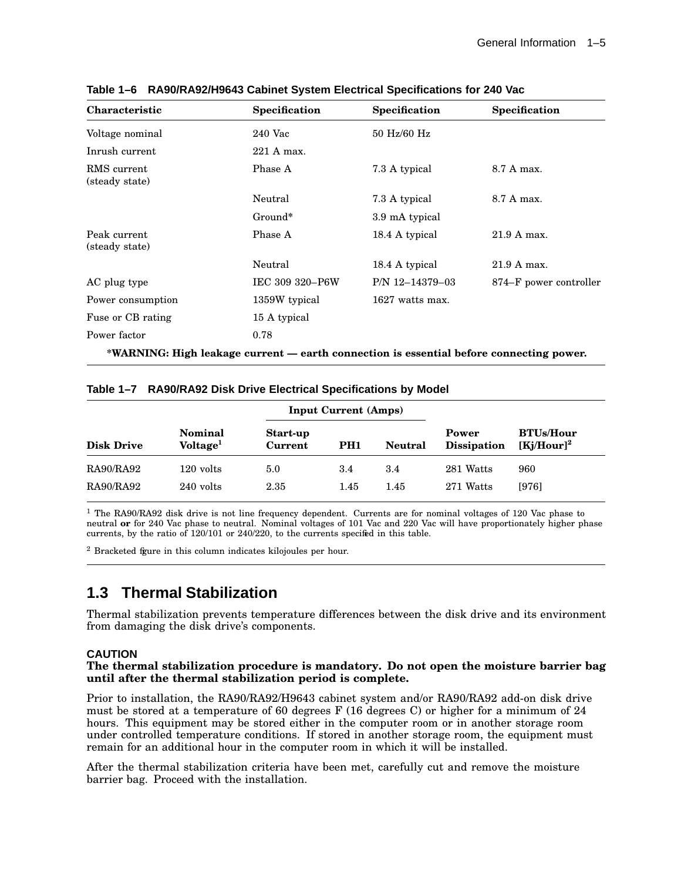| Characteristic                 | Specification                                                                           | Specification   | Specification          |
|--------------------------------|-----------------------------------------------------------------------------------------|-----------------|------------------------|
| Voltage nominal                | 240 Vac                                                                                 | 50 Hz/60 Hz     |                        |
| Inrush current                 | 221 A max.                                                                              |                 |                        |
| RMS current<br>(steady state)  | Phase A                                                                                 | 7.3 A typical   | 8.7 A max.             |
|                                | Neutral                                                                                 | 7.3 A typical   | 8.7 A max.             |
|                                | Ground*                                                                                 | 3.9 mA typical  |                        |
| Peak current<br>(steady state) | Phase A                                                                                 | 18.4 A typical  | 21.9 A max.            |
|                                | Neutral                                                                                 | 18.4 A typical  | 21.9 A max.            |
| AC plug type                   | IEC 309 320-P6W                                                                         | P/N 12-14379-03 | 874–F power controller |
| Power consumption              | 1359W typical                                                                           | 1627 watts max. |                        |
| Fuse or CB rating              | 15 A typical                                                                            |                 |                        |
| Power factor                   | 0.78                                                                                    |                 |                        |
|                                | *WARNING: High leakage current — earth connection is essential before connecting power. |                 |                        |

**Table 1–6 RA90/RA92/H9643 Cabinet System Electrical Specifications for 240 Vac**

### **Table 1–7 RA90/RA92 Disk Drive Electrical Specifications by Model**

|                   | <b>Input Current (Amps)</b>            |                            |                 |                |                             |                                   |
|-------------------|----------------------------------------|----------------------------|-----------------|----------------|-----------------------------|-----------------------------------|
| <b>Disk Drive</b> | <b>Nominal</b><br>Voltage <sup>1</sup> | Start-up<br><b>Current</b> | PH <sub>1</sub> | <b>Neutral</b> | Power<br><b>Dissipation</b> | <b>BTUs/Hour</b><br>$[Kj/Hour]^2$ |
| RA90/RA92         | $120$ volts                            | 5.0                        | 3.4             | 3.4            | 281 Watts                   | 960                               |
| RA90/RA92         | 240 volts                              | 2.35                       | 1.45            | 1.45           | 271 Watts                   | [976]                             |

 $1$  The RA90/RA92 disk drive is not line frequency dependent. Currents are for nominal voltages of 120 Vac phase to neutral **or** for 240 Vac phase to neutral. Nominal voltages of 101 Vac and 220 Vac will have proportionately higher phase currents, by the ratio of 120/101 or 240/220, to the currents specified in this table.

 $2$  Bracketed figure in this column indicates kilojoules per hour.

# **1.3 Thermal Stabilization**

Thermal stabilization prevents temperature differences between the disk drive and its environment from damaging the disk drive's components.

#### **CAUTION**

#### **The thermal stabilization procedure is mandatory. Do not open the moisture barrier bag until after the thermal stabilization period is complete.**

Prior to installation, the RA90/RA92/H9643 cabinet system and/or RA90/RA92 add-on disk drive must be stored at a temperature of 60 degrees F (16 degrees C) or higher for a minimum of 24 hours. This equipment may be stored either in the computer room or in another storage room under controlled temperature conditions. If stored in another storage room, the equipment must remain for an additional hour in the computer room in which it will be installed.

After the thermal stabilization criteria have been met, carefully cut and remove the moisture barrier bag. Proceed with the installation.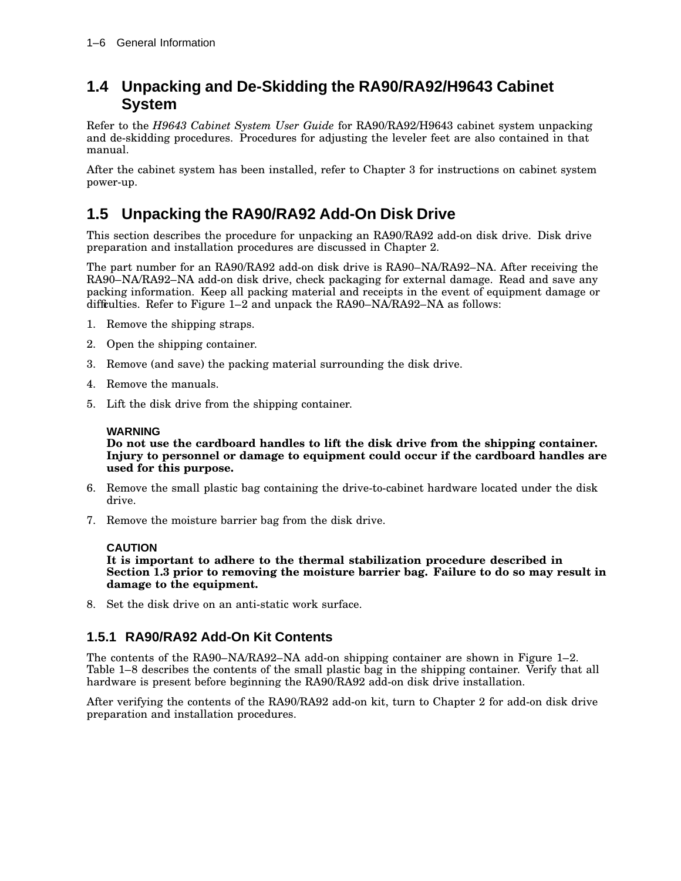# **1.4 Unpacking and De-Skidding the RA90/RA92/H9643 Cabinet System**

Refer to the *H9643 Cabinet System User Guide* for RA90/RA92/H9643 cabinet system unpacking and de-skidding procedures. Procedures for adjusting the leveler feet are also contained in that manual.

After the cabinet system has been installed, refer to Chapter 3 for instructions on cabinet system power-up.

# **1.5 Unpacking the RA90/RA92 Add-On Disk Drive**

This section describes the procedure for unpacking an RA90/RA92 add-on disk drive. Disk drive preparation and installation procedures are discussed in Chapter 2.

The part number for an RA90/RA92 add-on disk drive is RA90–NA/RA92–NA. After receiving the RA90–NA/RA92–NA add-on disk drive, check packaging for external damage. Read and save any packing information. Keep all packing material and receipts in the event of equipment damage or difficulties. Refer to Figure  $1-2$  and unpack the RA90–NA/RA92–NA as follows:

- 1. Remove the shipping straps.
- 2. Open the shipping container.
- 3. Remove (and save) the packing material surrounding the disk drive.
- 4. Remove the manuals.
- 5. Lift the disk drive from the shipping container.

### **WARNING**

**Do not use the cardboard handles to lift the disk drive from the shipping container. Injury to personnel or damage to equipment could occur if the cardboard handles are used for this purpose.**

- 6. Remove the small plastic bag containing the drive-to-cabinet hardware located under the disk drive.
- 7. Remove the moisture barrier bag from the disk drive.

#### **CAUTION**

**It is important to adhere to the thermal stabilization procedure described in Section 1.3 prior to removing the moisture barrier bag. Failure to do so may result in damage to the equipment.**

8. Set the disk drive on an anti-static work surface.

## **1.5.1 RA90/RA92 Add-On Kit Contents**

The contents of the RA90–NA/RA92–NA add-on shipping container are shown in Figure 1–2. Table 1–8 describes the contents of the small plastic bag in the shipping container. Verify that all hardware is present before beginning the RA90/RA92 add-on disk drive installation.

After verifying the contents of the RA90/RA92 add-on kit, turn to Chapter 2 for add-on disk drive preparation and installation procedures.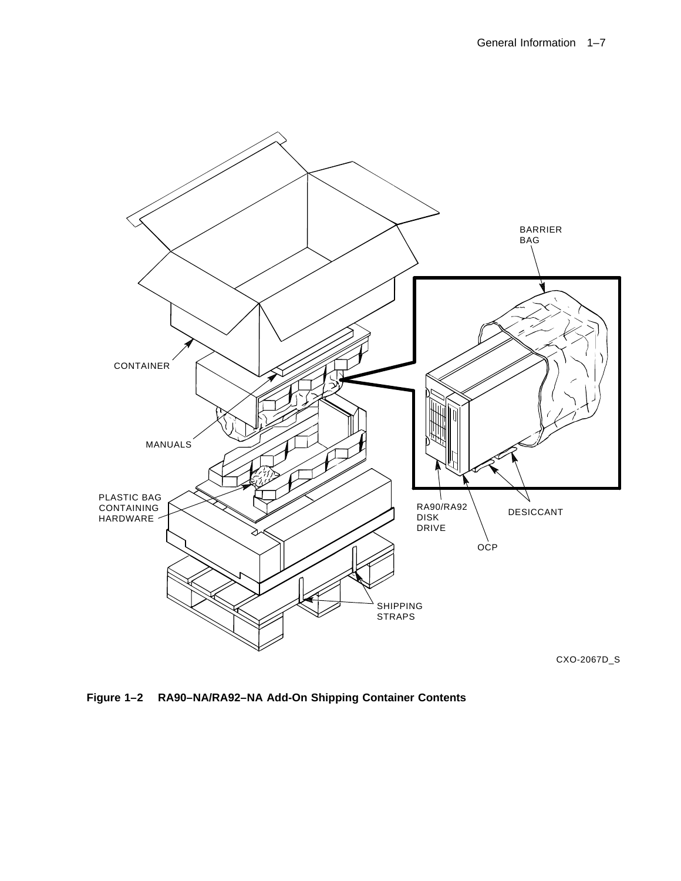

**Figure 1–2 RA90–NA/RA92–NA Add-On Shipping Container Contents**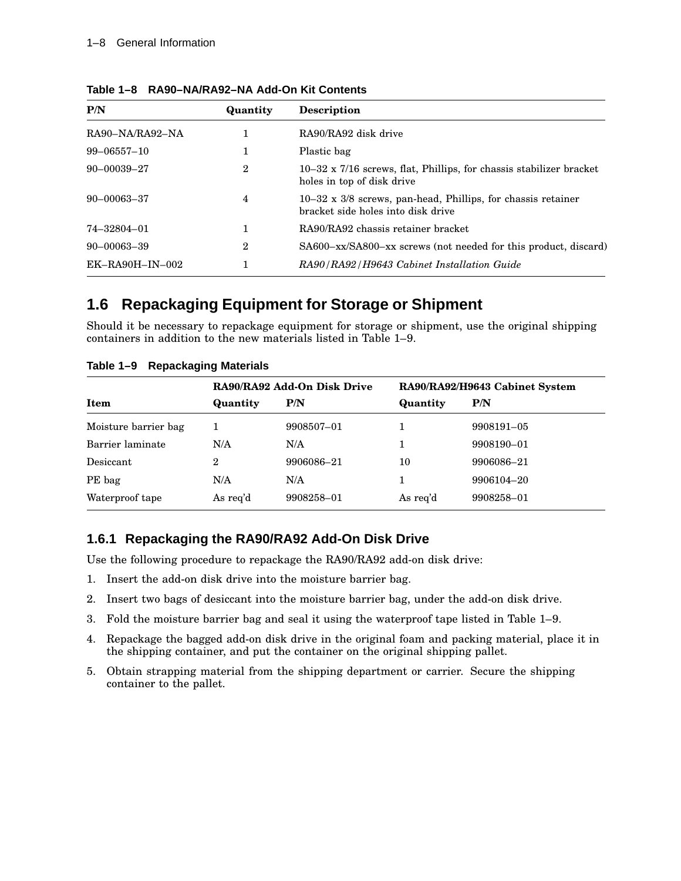| P/N               | Quantity       | <b>Description</b>                                                                                        |
|-------------------|----------------|-----------------------------------------------------------------------------------------------------------|
| RA90-NA/RA92-NA   |                | RA90/RA92 disk drive                                                                                      |
| $99 - 06557 - 10$ | 1              | Plastic bag                                                                                               |
| $90 - 00039 - 27$ | $\overline{2}$ | $10-32 \times 7/16$ screws, flat, Phillips, for chassis stabilizer bracket<br>holes in top of disk drive  |
| $90 - 00063 - 37$ | 4              | $10-32 \times 3/8$ screws, pan-head, Phillips, for chassis retainer<br>bracket side holes into disk drive |
| 74-32804-01       |                | RA90/RA92 chassis retainer bracket                                                                        |
| $90 - 00063 - 39$ | $\mathbf{2}$   | SA600-xx/SA800-xx screws (not needed for this product, discard)                                           |
| $EK-RA90H-IN-002$ |                | RA90/RA92/H9643 Cabinet Installation Guide                                                                |

**Table 1–8 RA90–NA/RA92–NA Add-On Kit Contents**

## **1.6 Repackaging Equipment for Storage or Shipment**

Should it be necessary to repackage equipment for storage or shipment, use the original shipping containers in addition to the new materials listed in Table 1–9.

|                      | RA90/RA92 Add-On Disk Drive |            | RA90/RA92/H9643 Cabinet System |            |  |
|----------------------|-----------------------------|------------|--------------------------------|------------|--|
| <b>Item</b>          | Quantity                    | P/N        | Quantity                       | P/N        |  |
| Moisture barrier bag |                             | 9908507-01 |                                | 9908191-05 |  |
| Barrier laminate     | N/A                         | N/A        |                                | 9908190-01 |  |
| Desiccant            | 2                           | 9906086-21 | 10                             | 9906086-21 |  |
| PE bag               | N/A                         | N/A        |                                | 9906104-20 |  |
| Waterproof tape      | As req'd                    | 9908258-01 | As req'd                       | 9908258-01 |  |

**Table 1–9 Repackaging Materials**

## **1.6.1 Repackaging the RA90/RA92 Add-On Disk Drive**

Use the following procedure to repackage the RA90/RA92 add-on disk drive:

- 1. Insert the add-on disk drive into the moisture barrier bag.
- 2. Insert two bags of desiccant into the moisture barrier bag, under the add-on disk drive.
- 3. Fold the moisture barrier bag and seal it using the waterproof tape listed in Table 1–9.
- 4. Repackage the bagged add-on disk drive in the original foam and packing material, place it in the shipping container, and put the container on the original shipping pallet.
- 5. Obtain strapping material from the shipping department or carrier. Secure the shipping container to the pallet.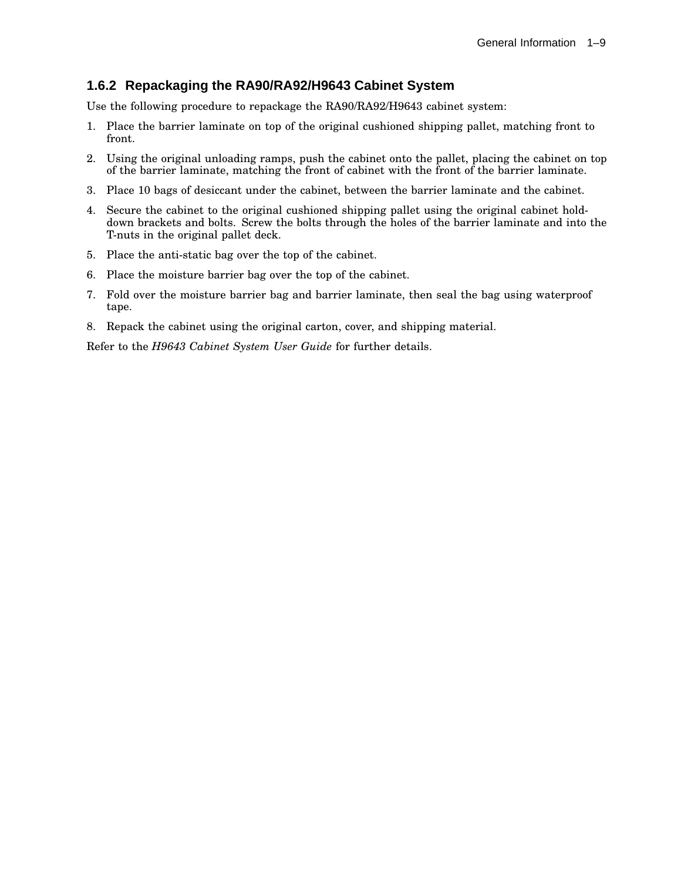## **1.6.2 Repackaging the RA90/RA92/H9643 Cabinet System**

Use the following procedure to repackage the RA90/RA92/H9643 cabinet system:

- 1. Place the barrier laminate on top of the original cushioned shipping pallet, matching front to front.
- 2. Using the original unloading ramps, push the cabinet onto the pallet, placing the cabinet on top of the barrier laminate, matching the front of cabinet with the front of the barrier laminate.
- 3. Place 10 bags of desiccant under the cabinet, between the barrier laminate and the cabinet.
- 4. Secure the cabinet to the original cushioned shipping pallet using the original cabinet holddown brackets and bolts. Screw the bolts through the holes of the barrier laminate and into the T-nuts in the original pallet deck.
- 5. Place the anti-static bag over the top of the cabinet.
- 6. Place the moisture barrier bag over the top of the cabinet.
- 7. Fold over the moisture barrier bag and barrier laminate, then seal the bag using waterproof tape.
- 8. Repack the cabinet using the original carton, cover, and shipping material.

Refer to the *H9643 Cabinet System User Guide* for further details.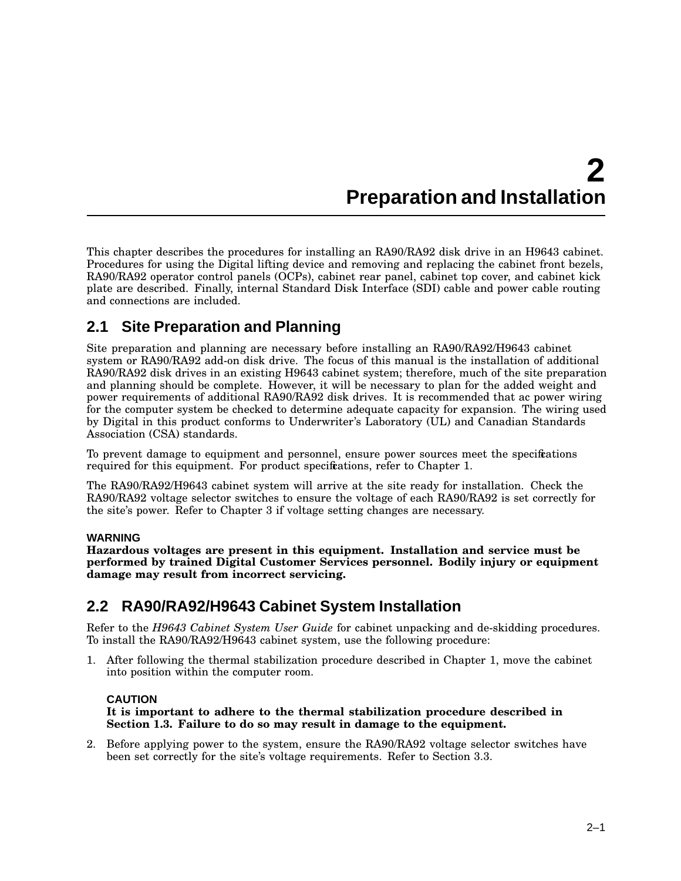# **2 Preparation and Installation**

This chapter describes the procedures for installing an RA90/RA92 disk drive in an H9643 cabinet. Procedures for using the Digital lifting device and removing and replacing the cabinet front bezels, RA90/RA92 operator control panels (OCPs), cabinet rear panel, cabinet top cover, and cabinet kick plate are described. Finally, internal Standard Disk Interface (SDI) cable and power cable routing and connections are included.

# **2.1 Site Preparation and Planning**

Site preparation and planning are necessary before installing an RA90/RA92/H9643 cabinet system or RA90/RA92 add-on disk drive. The focus of this manual is the installation of additional RA90/RA92 disk drives in an existing H9643 cabinet system; therefore, much of the site preparation and planning should be complete. However, it will be necessary to plan for the added weight and power requirements of additional RA90/RA92 disk drives. It is recommended that ac power wiring for the computer system be checked to determine adequate capacity for expansion. The wiring used by Digital in this product conforms to Underwriter's Laboratory (UL) and Canadian Standards Association (CSA) standards.

To prevent damage to equipment and personnel, ensure power sources meet the specifications required for this equipment. For product specifications, refer to Chapter 1.

The RA90/RA92/H9643 cabinet system will arrive at the site ready for installation. Check the RA90/RA92 voltage selector switches to ensure the voltage of each RA90/RA92 is set correctly for the site's power. Refer to Chapter 3 if voltage setting changes are necessary.

## **WARNING**

**Hazardous voltages are present in this equipment. Installation and service must be performed by trained Digital Customer Services personnel. Bodily injury or equipment damage may result from incorrect servicing.**

# **2.2 RA90/RA92/H9643 Cabinet System Installation**

Refer to the *H9643 Cabinet System User Guide* for cabinet unpacking and de-skidding procedures. To install the RA90/RA92/H9643 cabinet system, use the following procedure:

1. After following the thermal stabilization procedure described in Chapter 1, move the cabinet into position within the computer room.

## **CAUTION**

**It is important to adhere to the thermal stabilization procedure described in Section 1.3. Failure to do so may result in damage to the equipment.**

2. Before applying power to the system, ensure the RA90/RA92 voltage selector switches have been set correctly for the site's voltage requirements. Refer to Section 3.3.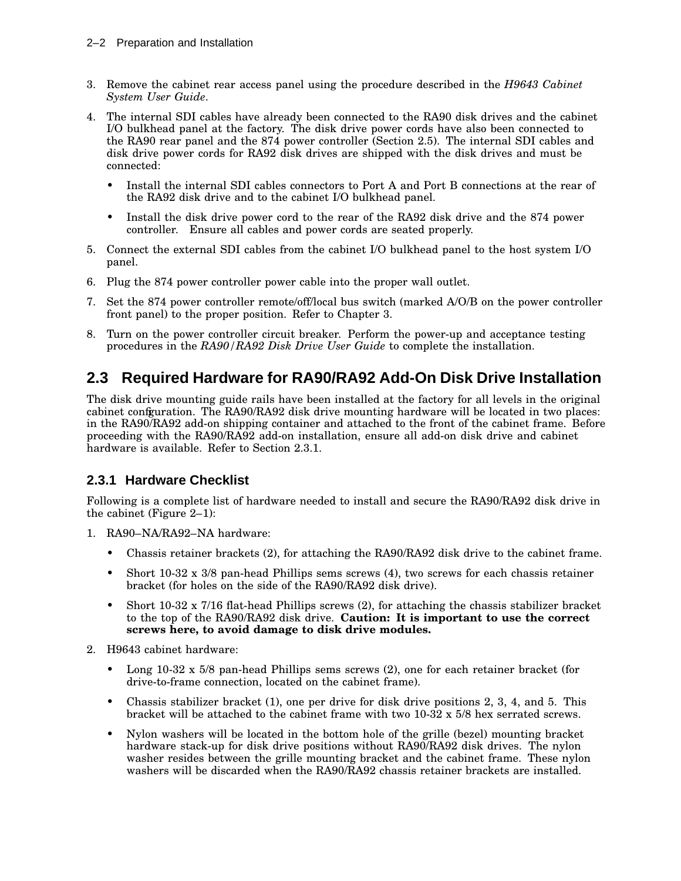- 3. Remove the cabinet rear access panel using the procedure described in the *H9643 Cabinet System User Guide*.
- 4. The internal SDI cables have already been connected to the RA90 disk drives and the cabinet I/O bulkhead panel at the factory. The disk drive power cords have also been connected to the RA90 rear panel and the 874 power controller (Section 2.5). The internal SDI cables and disk drive power cords for RA92 disk drives are shipped with the disk drives and must be connected:
	- Install the internal SDI cables connectors to Port A and Port B connections at the rear of the RA92 disk drive and to the cabinet I/O bulkhead panel.
	- Install the disk drive power cord to the rear of the RA92 disk drive and the 874 power controller. Ensure all cables and power cords are seated properly.
- 5. Connect the external SDI cables from the cabinet I/O bulkhead panel to the host system I/O panel.
- 6. Plug the 874 power controller power cable into the proper wall outlet.
- 7. Set the 874 power controller remote/off/local bus switch (marked A/O/B on the power controller front panel) to the proper position. Refer to Chapter 3.
- 8. Turn on the power controller circuit breaker. Perform the power-up and acceptance testing procedures in the *RA90/RA92 Disk Drive User Guide* to complete the installation.

# **2.3 Required Hardware for RA90/RA92 Add-On Disk Drive Installation**

The disk drive mounting guide rails have been installed at the factory for all levels in the original cabinet configuration. The RA90/RA92 disk drive mounting hardware will be located in two places: in the RA90/RA92 add-on shipping container and attached to the front of the cabinet frame. Before proceeding with the RA90/RA92 add-on installation, ensure all add-on disk drive and cabinet hardware is available. Refer to Section 2.3.1.

## **2.3.1 Hardware Checklist**

Following is a complete list of hardware needed to install and secure the RA90/RA92 disk drive in the cabinet (Figure 2–1):

- 1. RA90–NA/RA92–NA hardware:
	- Chassis retainer brackets (2), for attaching the RA90/RA92 disk drive to the cabinet frame.
	- Short 10-32 x 3/8 pan-head Phillips sems screws (4), two screws for each chassis retainer bracket (for holes on the side of the RA90/RA92 disk drive).
	- Short 10-32 x 7/16 flat-head Phillips screws (2), for attaching the chassis stabilizer bracket to the top of the RA90/RA92 disk drive. **Caution: It is important to use the correct screws here, to avoid damage to disk drive modules.**
- 2. H9643 cabinet hardware:
	- Long  $10-32 \times 5/8$  pan-head Phillips sems screws (2), one for each retainer bracket (for drive-to-frame connection, located on the cabinet frame).
	- Chassis stabilizer bracket (1), one per drive for disk drive positions 2, 3, 4, and 5. This bracket will be attached to the cabinet frame with two  $10-32 \times 5/8$  hex serrated screws.
	- Nylon washers will be located in the bottom hole of the grille (bezel) mounting bracket hardware stack-up for disk drive positions without RA90/RA92 disk drives. The nylon washer resides between the grille mounting bracket and the cabinet frame. These nylon washers will be discarded when the RA90/RA92 chassis retainer brackets are installed.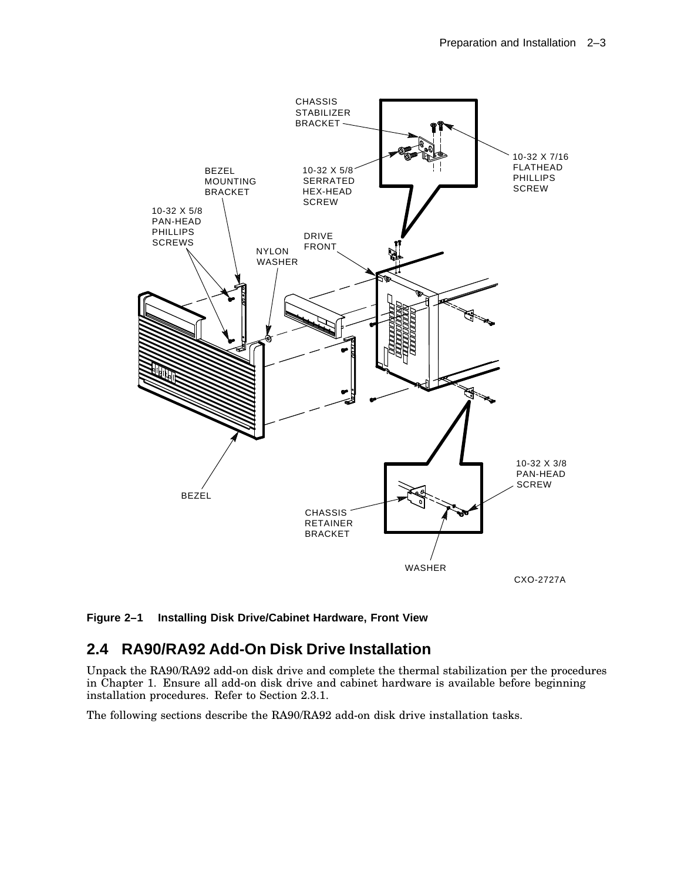

**Figure 2–1 Installing Disk Drive/Cabinet Hardware, Front View**

# **2.4 RA90/RA92 Add-On Disk Drive Installation**

Unpack the RA90/RA92 add-on disk drive and complete the thermal stabilization per the procedures in Chapter 1. Ensure all add-on disk drive and cabinet hardware is available before beginning installation procedures. Refer to Section 2.3.1.

The following sections describe the RA90/RA92 add-on disk drive installation tasks.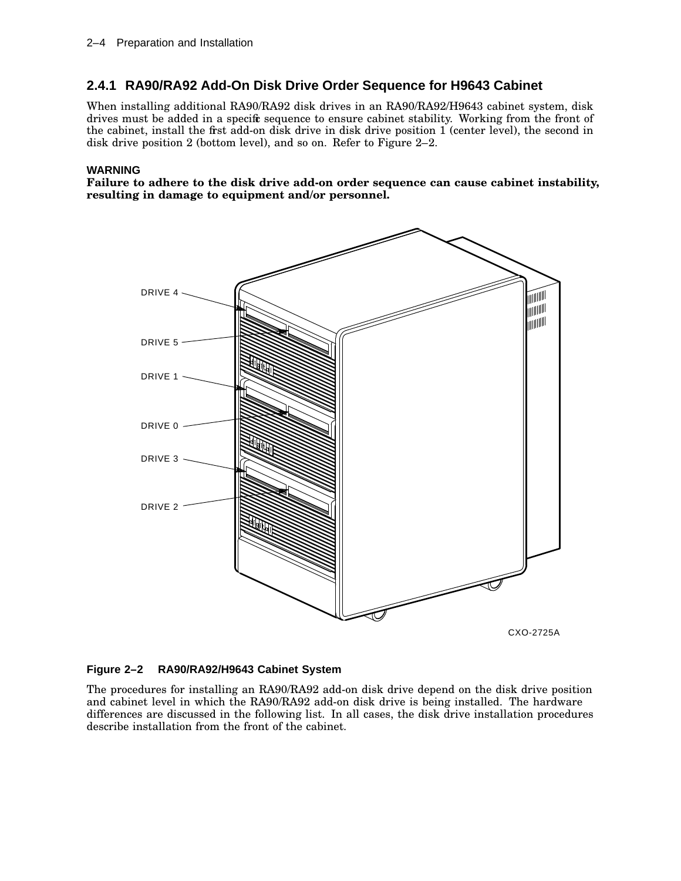## **2.4.1 RA90/RA92 Add-On Disk Drive Order Sequence for H9643 Cabinet**

When installing additional RA90/RA92 disk drives in an RA90/RA92/H9643 cabinet system, disk drives must be added in a specific sequence to ensure cabinet stability. Working from the front of the cabinet, install the first add-on disk drive in disk drive position 1 (center level), the second in disk drive position 2 (bottom level), and so on. Refer to Figure 2–2.

#### **WARNING**

**Failure to adhere to the disk drive add-on order sequence can cause cabinet instability, resulting in damage to equipment and/or personnel.**



#### **Figure 2–2 RA90/RA92/H9643 Cabinet System**

The procedures for installing an RA90/RA92 add-on disk drive depend on the disk drive position and cabinet level in which the RA90/RA92 add-on disk drive is being installed. The hardware differences are discussed in the following list. In all cases, the disk drive installation procedures describe installation from the front of the cabinet.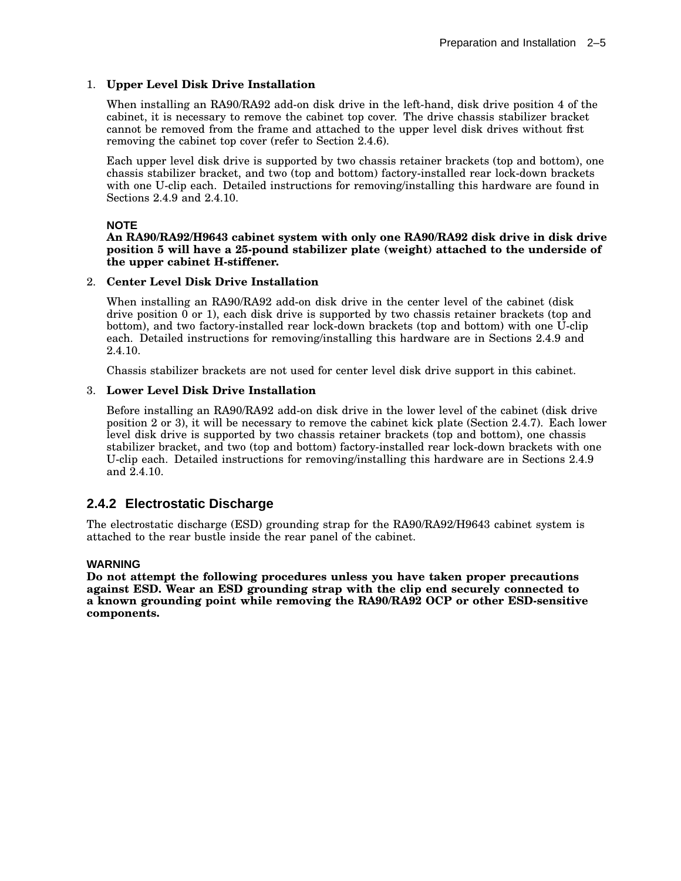### 1. **Upper Level Disk Drive Installation**

When installing an RA90/RA92 add-on disk drive in the left-hand, disk drive position 4 of the cabinet, it is necessary to remove the cabinet top cover. The drive chassis stabilizer bracket cannot be removed from the frame and attached to the upper level disk drives without first removing the cabinet top cover (refer to Section 2.4.6).

Each upper level disk drive is supported by two chassis retainer brackets (top and bottom), one chassis stabilizer bracket, and two (top and bottom) factory-installed rear lock-down brackets with one U-clip each. Detailed instructions for removing/installing this hardware are found in Sections 2.4.9 and 2.4.10.

#### **NOTE**

#### **An RA90/RA92/H9643 cabinet system with only one RA90/RA92 disk drive in disk drive position 5 will have a 25-pound stabilizer plate (weight) attached to the underside of the upper cabinet H-stiffener.**

#### 2. **Center Level Disk Drive Installation**

When installing an RA90/RA92 add-on disk drive in the center level of the cabinet (disk drive position 0 or 1), each disk drive is supported by two chassis retainer brackets (top and bottom), and two factory-installed rear lock-down brackets (top and bottom) with one U-clip each. Detailed instructions for removing/installing this hardware are in Sections 2.4.9 and 2.4.10.

Chassis stabilizer brackets are not used for center level disk drive support in this cabinet.

#### 3. **Lower Level Disk Drive Installation**

Before installing an RA90/RA92 add-on disk drive in the lower level of the cabinet (disk drive position 2 or 3), it will be necessary to remove the cabinet kick plate (Section 2.4.7). Each lower level disk drive is supported by two chassis retainer brackets (top and bottom), one chassis stabilizer bracket, and two (top and bottom) factory-installed rear lock-down brackets with one U-clip each. Detailed instructions for removing/installing this hardware are in Sections 2.4.9 and 2.4.10.

## **2.4.2 Electrostatic Discharge**

The electrostatic discharge (ESD) grounding strap for the RA90/RA92/H9643 cabinet system is attached to the rear bustle inside the rear panel of the cabinet.

#### **WARNING**

**Do not attempt the following procedures unless you have taken proper precautions against ESD. Wear an ESD grounding strap with the clip end securely connected to a known grounding point while removing the RA90/RA92 OCP or other ESD-sensitive components.**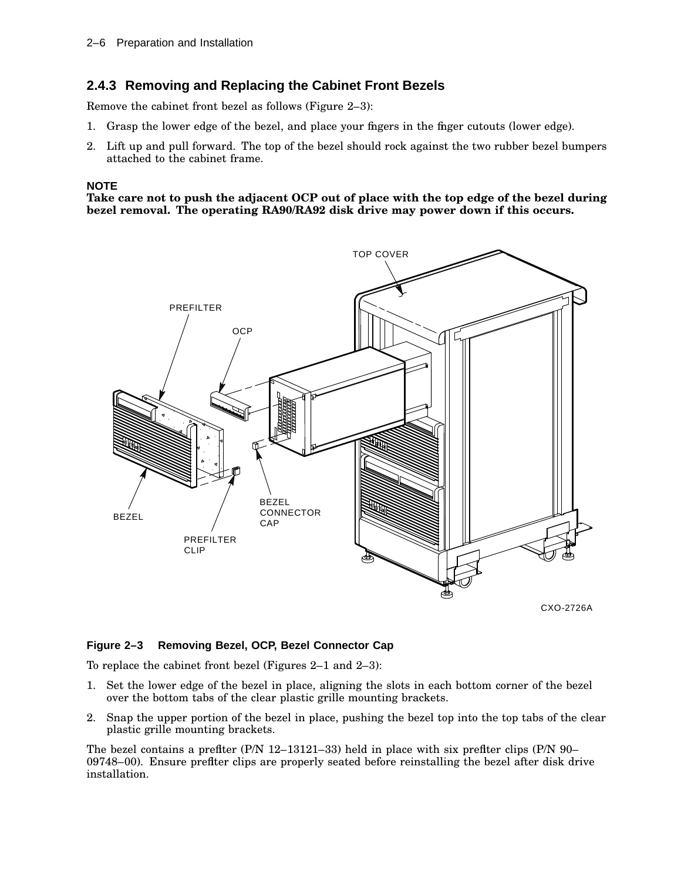## **2.4.3 Removing and Replacing the Cabinet Front Bezels**

Remove the cabinet front bezel as follows (Figure 2–3):

- 1. Grasp the lower edge of the bezel, and place your fingers in the finger cutouts (lower edge).
- 2. Lift up and pull forward. The top of the bezel should rock against the two rubber bezel bumpers attached to the cabinet frame.

#### **NOTE**

**Take care not to push the adjacent OCP out of place with the top edge of the bezel during bezel removal. The operating RA90/RA92 disk drive may power down if this occurs.**



## **Figure 2–3 Removing Bezel, OCP, Bezel Connector Cap**

To replace the cabinet front bezel (Figures 2–1 and 2–3):

- 1. Set the lower edge of the bezel in place, aligning the slots in each bottom corner of the bezel over the bottom tabs of the clear plastic grille mounting brackets.
- 2. Snap the upper portion of the bezel in place, pushing the bezel top into the top tabs of the clear plastic grille mounting brackets.

The bezel contains a prefiter  $(P/N \ 12-13121-33)$  held in place with six prefiter clips  $(P/N \ 90-$ 09748–00). Ensure prefilter clips are properly seated before reinstalling the bezel after disk drive installation.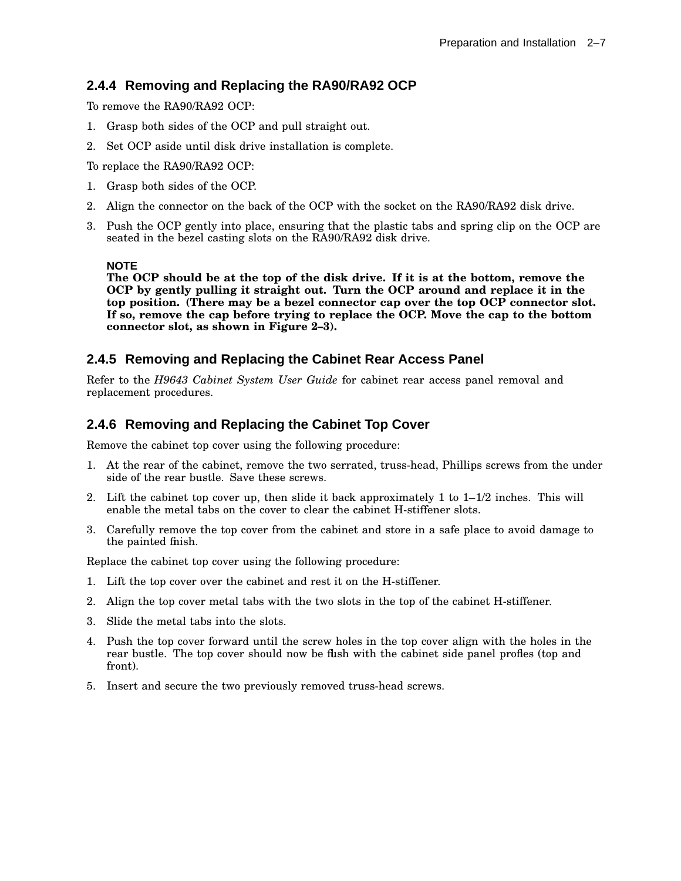## **2.4.4 Removing and Replacing the RA90/RA92 OCP**

To remove the RA90/RA92 OCP:

- 1. Grasp both sides of the OCP and pull straight out.
- 2. Set OCP aside until disk drive installation is complete.

To replace the RA90/RA92 OCP:

- 1. Grasp both sides of the OCP.
- 2. Align the connector on the back of the OCP with the socket on the RA90/RA92 disk drive.
- 3. Push the OCP gently into place, ensuring that the plastic tabs and spring clip on the OCP are seated in the bezel casting slots on the RA90/RA92 disk drive.

#### **NOTE**

**The OCP should be at the top of the disk drive. If it is at the bottom, remove the OCP by gently pulling it straight out. Turn the OCP around and replace it in the top position. (There may be a bezel connector cap over the top OCP connector slot. If so, remove the cap before trying to replace the OCP. Move the cap to the bottom connector slot, as shown in Figure 2–3).**

## **2.4.5 Removing and Replacing the Cabinet Rear Access Panel**

Refer to the *H9643 Cabinet System User Guide* for cabinet rear access panel removal and replacement procedures.

## **2.4.6 Removing and Replacing the Cabinet Top Cover**

Remove the cabinet top cover using the following procedure:

- 1. At the rear of the cabinet, remove the two serrated, truss-head, Phillips screws from the under side of the rear bustle. Save these screws.
- 2. Lift the cabinet top cover up, then slide it back approximately 1 to  $1-1/2$  inches. This will enable the metal tabs on the cover to clear the cabinet H-stiffener slots.
- 3. Carefully remove the top cover from the cabinet and store in a safe place to avoid damage to the painted finish.

Replace the cabinet top cover using the following procedure:

- 1. Lift the top cover over the cabinet and rest it on the H-stiffener.
- 2. Align the top cover metal tabs with the two slots in the top of the cabinet H-stiffener.
- 3. Slide the metal tabs into the slots.
- 4. Push the top cover forward until the screw holes in the top cover align with the holes in the rear bustle. The top cover should now be flush with the cabinet side panel profiles (top and front).
- 5. Insert and secure the two previously removed truss-head screws.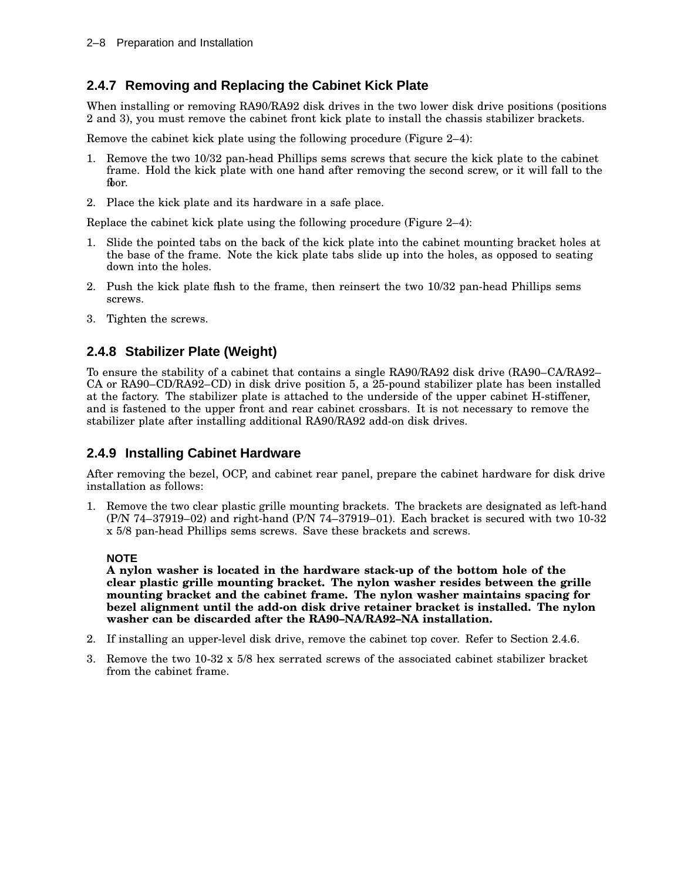## **2.4.7 Removing and Replacing the Cabinet Kick Plate**

When installing or removing RA90/RA92 disk drives in the two lower disk drive positions (positions 2 and 3), you must remove the cabinet front kick plate to install the chassis stabilizer brackets.

Remove the cabinet kick plate using the following procedure (Figure 2–4):

- 1. Remove the two 10/32 pan-head Phillips sems screws that secure the kick plate to the cabinet frame. Hold the kick plate with one hand after removing the second screw, or it will fall to the fbor.
- 2. Place the kick plate and its hardware in a safe place.

Replace the cabinet kick plate using the following procedure (Figure 2–4):

- 1. Slide the pointed tabs on the back of the kick plate into the cabinet mounting bracket holes at the base of the frame. Note the kick plate tabs slide up into the holes, as opposed to seating down into the holes.
- 2. Push the kick plate flush to the frame, then reinsert the two 10/32 pan-head Phillips sems screws.
- 3. Tighten the screws.

## **2.4.8 Stabilizer Plate (Weight)**

To ensure the stability of a cabinet that contains a single RA90/RA92 disk drive (RA90–CA/RA92– CA or RA90–CD/RA92–CD) in disk drive position 5, a 25-pound stabilizer plate has been installed at the factory. The stabilizer plate is attached to the underside of the upper cabinet H-stiffener, and is fastened to the upper front and rear cabinet crossbars. It is not necessary to remove the stabilizer plate after installing additional RA90/RA92 add-on disk drives.

## **2.4.9 Installing Cabinet Hardware**

After removing the bezel, OCP, and cabinet rear panel, prepare the cabinet hardware for disk drive installation as follows:

1. Remove the two clear plastic grille mounting brackets. The brackets are designated as left-hand (P/N 74–37919–02) and right-hand (P/N 74–37919–01). Each bracket is secured with two 10-32 x 5/8 pan-head Phillips sems screws. Save these brackets and screws.

#### **NOTE**

**A nylon washer is located in the hardware stack-up of the bottom hole of the clear plastic grille mounting bracket. The nylon washer resides between the grille mounting bracket and the cabinet frame. The nylon washer maintains spacing for bezel alignment until the add-on disk drive retainer bracket is installed. The nylon washer can be discarded after the RA90–NA/RA92–NA installation.**

- 2. If installing an upper-level disk drive, remove the cabinet top cover. Refer to Section 2.4.6.
- 3. Remove the two 10-32 x 5/8 hex serrated screws of the associated cabinet stabilizer bracket from the cabinet frame.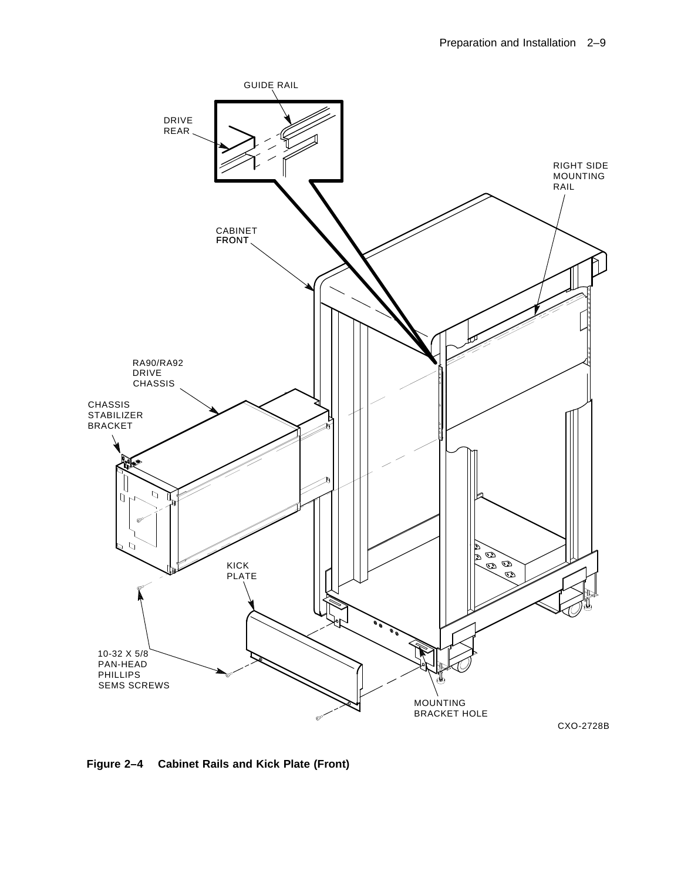

**Figure 2–4 Cabinet Rails and Kick Plate (Front)**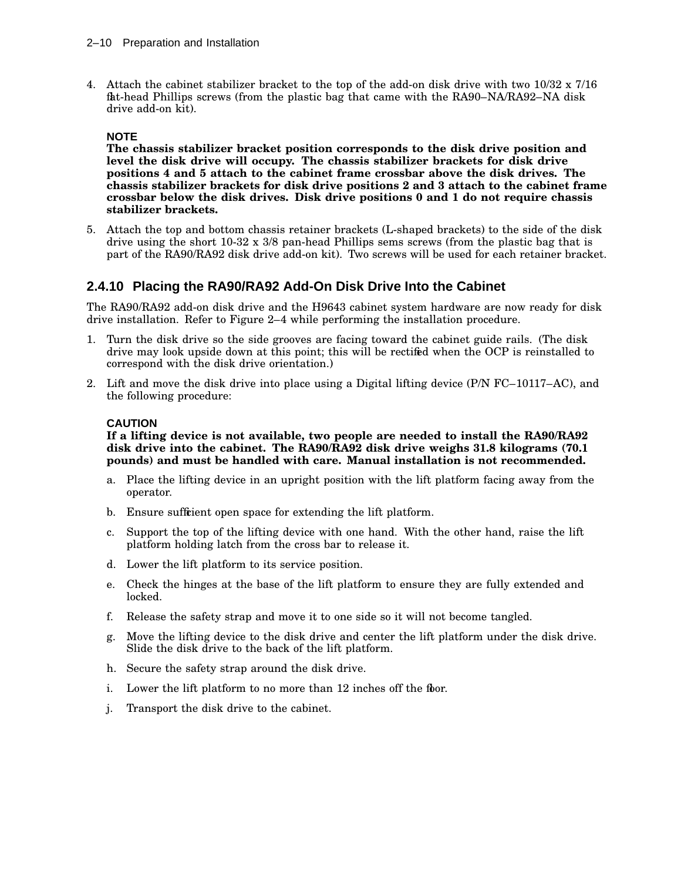4. Attach the cabinet stabilizer bracket to the top of the add-on disk drive with two 10/32 x 7/16 flat-head Phillips screws (from the plastic bag that came with the RA90–NA/RA92–NA disk drive add-on kit).

### **NOTE**

**The chassis stabilizer bracket position corresponds to the disk drive position and level the disk drive will occupy. The chassis stabilizer brackets for disk drive positions 4 and 5 attach to the cabinet frame crossbar above the disk drives. The chassis stabilizer brackets for disk drive positions 2 and 3 attach to the cabinet frame crossbar below the disk drives. Disk drive positions 0 and 1 do not require chassis stabilizer brackets.**

5. Attach the top and bottom chassis retainer brackets (L-shaped brackets) to the side of the disk drive using the short  $10-32 \times 3/8$  pan-head Phillips sems screws (from the plastic bag that is part of the RA90/RA92 disk drive add-on kit). Two screws will be used for each retainer bracket.

## **2.4.10 Placing the RA90/RA92 Add-On Disk Drive Into the Cabinet**

The RA90/RA92 add-on disk drive and the H9643 cabinet system hardware are now ready for disk drive installation. Refer to Figure 2–4 while performing the installation procedure.

- 1. Turn the disk drive so the side grooves are facing toward the cabinet guide rails. (The disk drive may look upside down at this point; this will be rectified when the OCP is reinstalled to correspond with the disk drive orientation.)
- 2. Lift and move the disk drive into place using a Digital lifting device (P/N FC–10117–AC), and the following procedure:

### **CAUTION**

**If a lifting device is not available, two people are needed to install the RA90/RA92 disk drive into the cabinet. The RA90/RA92 disk drive weighs 31.8 kilograms (70.1 pounds) and must be handled with care. Manual installation is not recommended.**

- a. Place the lifting device in an upright position with the lift platform facing away from the operator.
- b. Ensure sufficient open space for extending the lift platform.
- c. Support the top of the lifting device with one hand. With the other hand, raise the lift platform holding latch from the cross bar to release it.
- d. Lower the lift platform to its service position.
- e. Check the hinges at the base of the lift platform to ensure they are fully extended and locked.
- f. Release the safety strap and move it to one side so it will not become tangled.
- g. Move the lifting device to the disk drive and center the lift platform under the disk drive. Slide the disk drive to the back of the lift platform.
- h. Secure the safety strap around the disk drive.
- i. Lower the lift platform to no more than 12 inches off the floor.
- j. Transport the disk drive to the cabinet.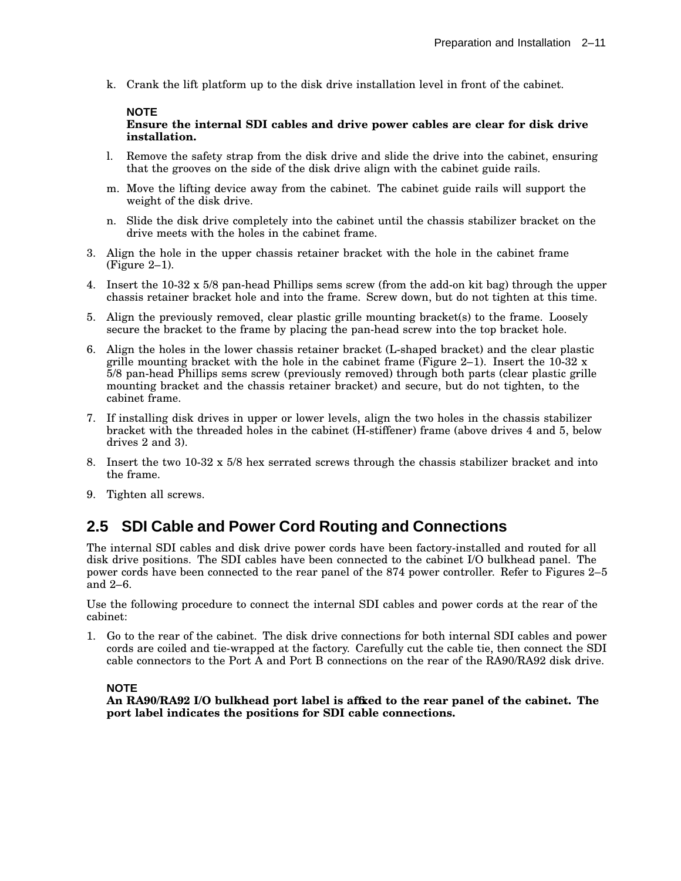k. Crank the lift platform up to the disk drive installation level in front of the cabinet.

#### **NOTE**

#### **Ensure the internal SDI cables and drive power cables are clear for disk drive installation.**

- l. Remove the safety strap from the disk drive and slide the drive into the cabinet, ensuring that the grooves on the side of the disk drive align with the cabinet guide rails.
- m. Move the lifting device away from the cabinet. The cabinet guide rails will support the weight of the disk drive.
- n. Slide the disk drive completely into the cabinet until the chassis stabilizer bracket on the drive meets with the holes in the cabinet frame.
- 3. Align the hole in the upper chassis retainer bracket with the hole in the cabinet frame (Figure 2–1).
- 4. Insert the 10-32 x 5/8 pan-head Phillips sems screw (from the add-on kit bag) through the upper chassis retainer bracket hole and into the frame. Screw down, but do not tighten at this time.
- 5. Align the previously removed, clear plastic grille mounting bracket(s) to the frame. Loosely secure the bracket to the frame by placing the pan-head screw into the top bracket hole.
- 6. Align the holes in the lower chassis retainer bracket (L-shaped bracket) and the clear plastic grille mounting bracket with the hole in the cabinet frame (Figure 2–1). Insert the  $10-32 \text{ x}$ 5/8 pan-head Phillips sems screw (previously removed) through both parts (clear plastic grille mounting bracket and the chassis retainer bracket) and secure, but do not tighten, to the cabinet frame.
- 7. If installing disk drives in upper or lower levels, align the two holes in the chassis stabilizer bracket with the threaded holes in the cabinet (H-stiffener) frame (above drives 4 and 5, below drives 2 and 3).
- 8. Insert the two 10-32 x 5/8 hex serrated screws through the chassis stabilizer bracket and into the frame.
- 9. Tighten all screws.

# **2.5 SDI Cable and Power Cord Routing and Connections**

The internal SDI cables and disk drive power cords have been factory-installed and routed for all disk drive positions. The SDI cables have been connected to the cabinet I/O bulkhead panel. The power cords have been connected to the rear panel of the 874 power controller. Refer to Figures 2–5 and 2–6.

Use the following procedure to connect the internal SDI cables and power cords at the rear of the cabinet:

1. Go to the rear of the cabinet. The disk drive connections for both internal SDI cables and power cords are coiled and tie-wrapped at the factory. Carefully cut the cable tie, then connect the SDI cable connectors to the Port A and Port B connections on the rear of the RA90/RA92 disk drive.

#### **NOTE**

**An RA90/RA92 I/O bulkhead port label is affixed to the rear panel of the cabinet. The port label indicates the positions for SDI cable connections.**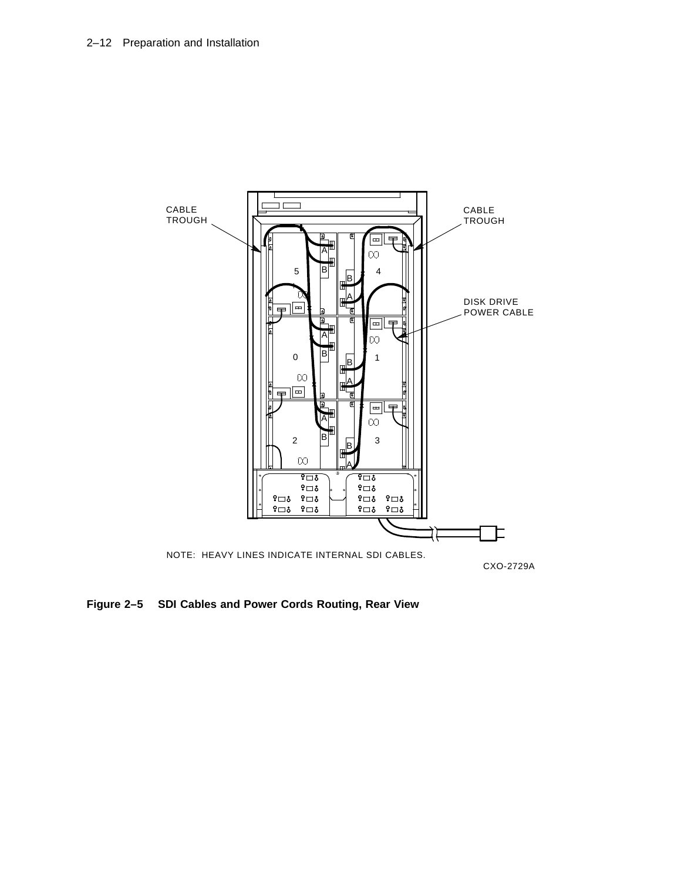

**Figure 2–5 SDI Cables and Power Cords Routing, Rear View**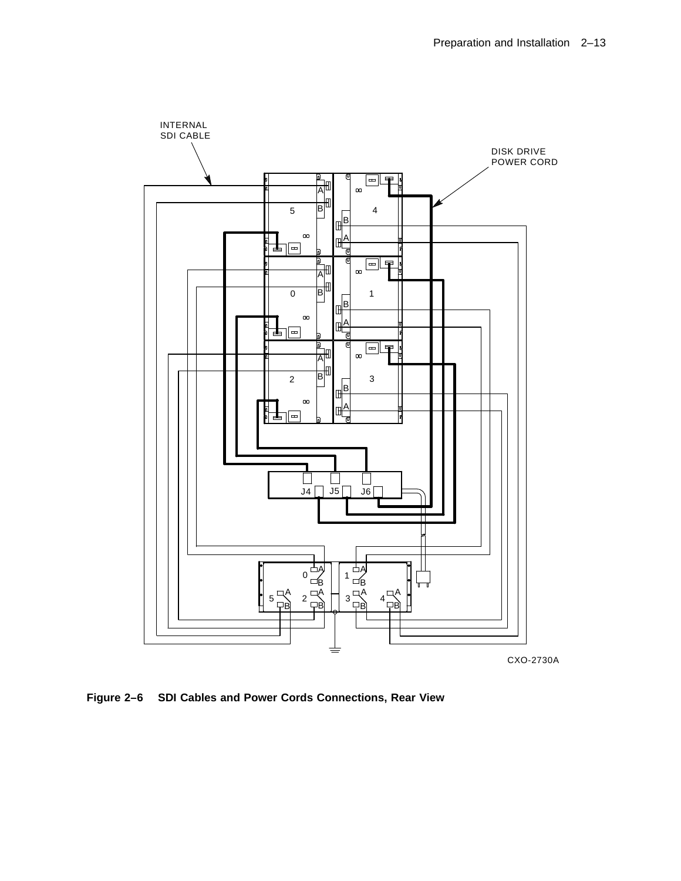

**Figure 2–6 SDI Cables and Power Cords Connections, Rear View**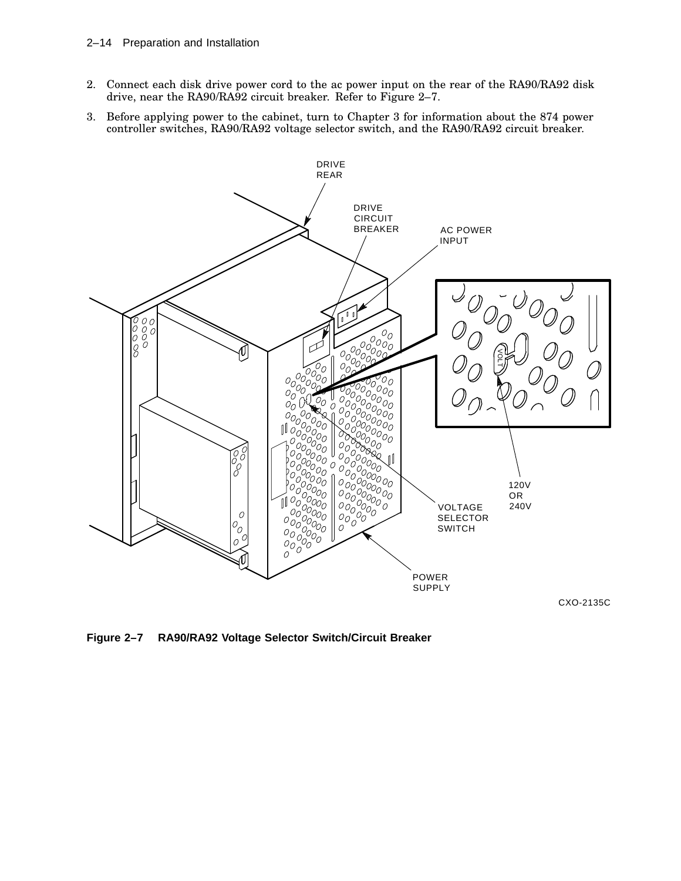- 2. Connect each disk drive power cord to the ac power input on the rear of the RA90/RA92 disk drive, near the RA90/RA92 circuit breaker. Refer to Figure 2–7.
- 3. Before applying power to the cabinet, turn to Chapter 3 for information about the 874 power controller switches, RA90/RA92 voltage selector switch, and the RA90/RA92 circuit breaker.



CXO-2135C

**Figure 2–7 RA90/RA92 Voltage Selector Switch/Circuit Breaker**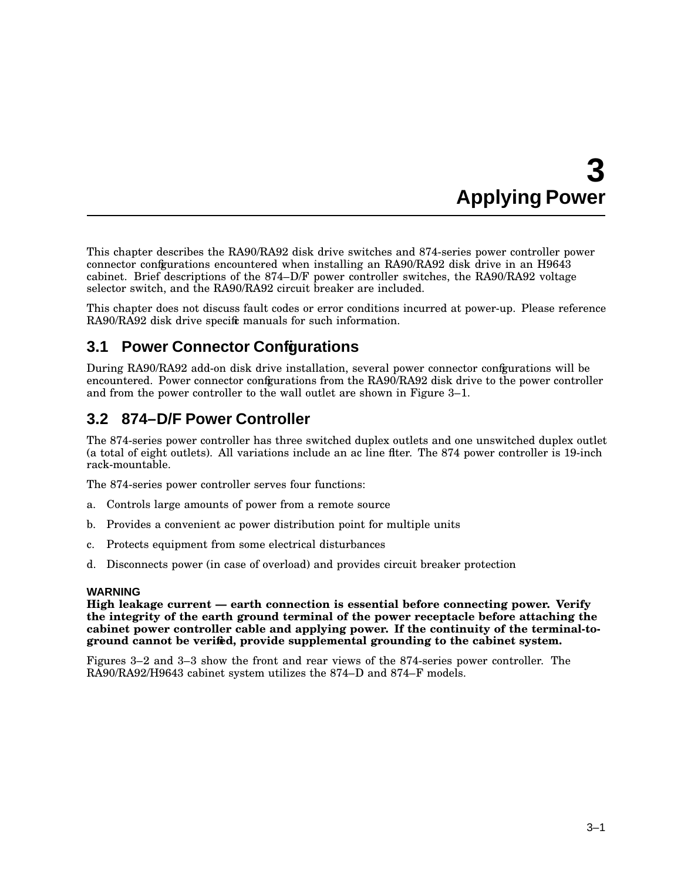# **3 Applying Power**

This chapter describes the RA90/RA92 disk drive switches and 874-series power controller power connector configurations encountered when installing an RA90/RA92 disk drive in an H9643 cabinet. Brief descriptions of the 874–D/F power controller switches, the RA90/RA92 voltage selector switch, and the RA90/RA92 circuit breaker are included.

This chapter does not discuss fault codes or error conditions incurred at power-up. Please reference RA90/RA92 disk drive specific manuals for such information.

# **3.1 Power Connector Configurations**

During RA90/RA92 add-on disk drive installation, several power connector configurations will be encountered. Power connector configurations from the RA90/RA92 disk drive to the power controller and from the power controller to the wall outlet are shown in Figure 3–1.

# **3.2 874–D/F Power Controller**

The 874-series power controller has three switched duplex outlets and one unswitched duplex outlet (a total of eight outlets). All variations include an ac line filter. The 874 power controller is 19-inch rack-mountable.

The 874-series power controller serves four functions:

- a. Controls large amounts of power from a remote source
- b. Provides a convenient ac power distribution point for multiple units
- c. Protects equipment from some electrical disturbances
- d. Disconnects power (in case of overload) and provides circuit breaker protection

## **WARNING**

**High leakage current — earth connection is essential before connecting power. Verify the integrity of the earth ground terminal of the power receptacle before attaching the cabinet power controller cable and applying power. If the continuity of the terminal-toground cannot be verified, provide supplemental grounding to the cabinet system.**

Figures 3–2 and 3–3 show the front and rear views of the 874-series power controller. The RA90/RA92/H9643 cabinet system utilizes the 874–D and 874–F models.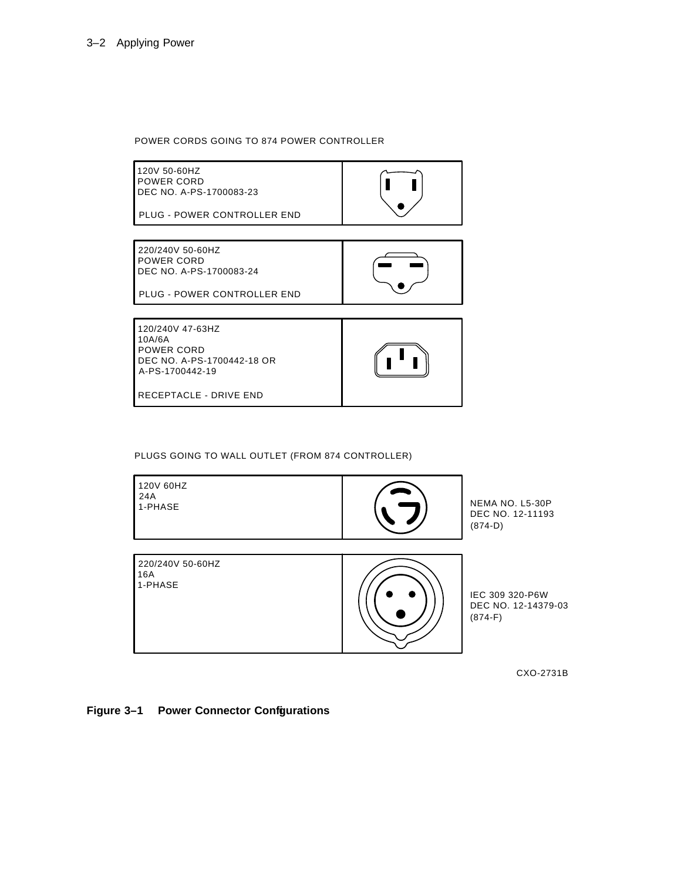#### POWER CORDS GOING TO 874 POWER CONTROLLER



PLUGS GOING TO WALL OUTLET (FROM 874 CONTROLLER)



CXO-2731B

**Figure 3–1 Power Connector Configurations**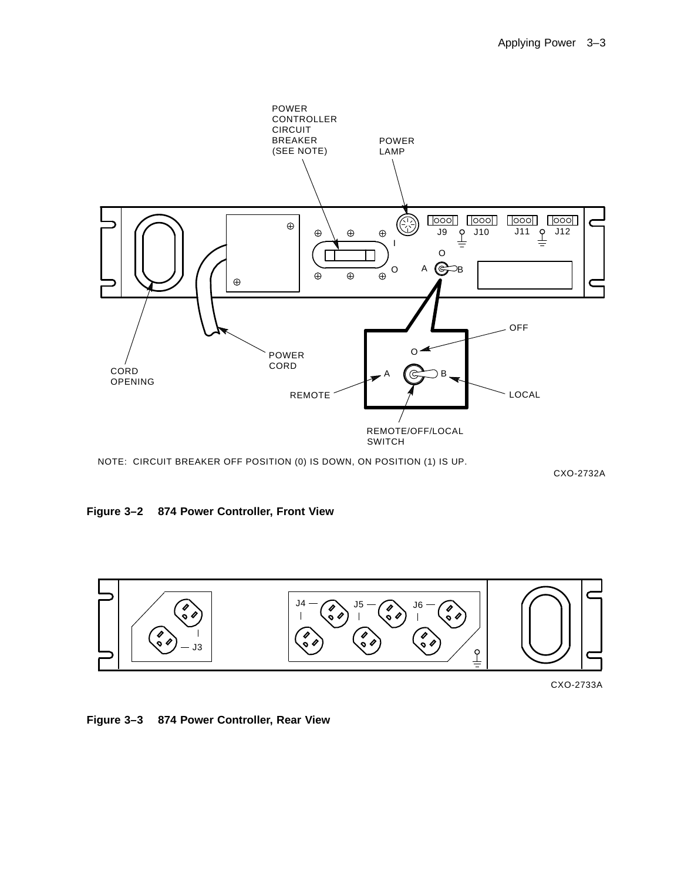

CXO-2732A

**Figure 3–2 874 Power Controller, Front View**





**Figure 3–3 874 Power Controller, Rear View**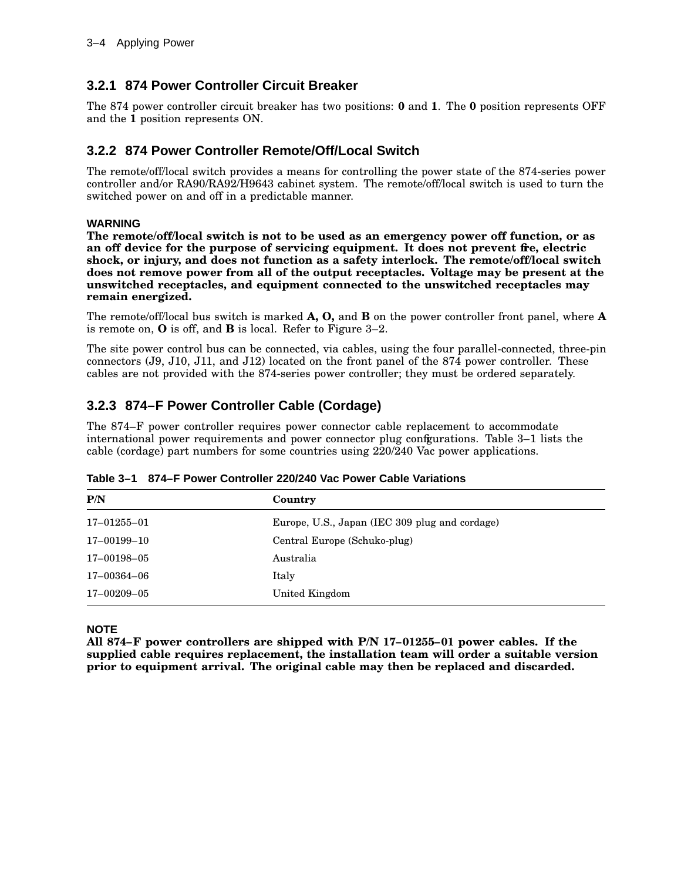## **3.2.1 874 Power Controller Circuit Breaker**

The 874 power controller circuit breaker has two positions: **0** and **1**. The **0** position represents OFF and the **1** position represents ON.

## **3.2.2 874 Power Controller Remote/Off/Local Switch**

The remote/off/local switch provides a means for controlling the power state of the 874-series power controller and/or RA90/RA92/H9643 cabinet system. The remote/off/local switch is used to turn the switched power on and off in a predictable manner.

### **WARNING**

**The remote/off/local switch is not to be used as an emergency power off function, or as an off device for the purpose of servicing equipment. It does not prevent fire, electric shock, or injury, and does not function as a safety interlock. The remote/off/local switch does not remove power from all of the output receptacles. Voltage may be present at the unswitched receptacles, and equipment connected to the unswitched receptacles may remain energized.**

The remote/off/local bus switch is marked **A, O,** and **B** on the power controller front panel, where **A** is remote on, **O** is off, and **B** is local. Refer to Figure 3–2.

The site power control bus can be connected, via cables, using the four parallel-connected, three-pin connectors (J9, J10, J11, and J12) located on the front panel of the 874 power controller. These cables are not provided with the 874-series power controller; they must be ordered separately.

## **3.2.3 874–F Power Controller Cable (Cordage)**

The 874–F power controller requires power connector cable replacement to accommodate international power requirements and power connector plug configurations. Table 3–1 lists the cable (cordage) part numbers for some countries using 220/240 Vac power applications.

| P/N               | Country                                        |
|-------------------|------------------------------------------------|
| $17 - 01255 - 01$ | Europe, U.S., Japan (IEC 309 plug and cordage) |
| 17-00199-10       | Central Europe (Schuko-plug)                   |
| 17-00198-05       | Australia                                      |
| 17–00364–06       | Italy                                          |
| 17-00209-05       | United Kingdom                                 |

**Table 3–1 874–F Power Controller 220/240 Vac Power Cable Variations**

### **NOTE**

**All 874–F power controllers are shipped with P/N 17–01255–01 power cables. If the supplied cable requires replacement, the installation team will order a suitable version prior to equipment arrival. The original cable may then be replaced and discarded.**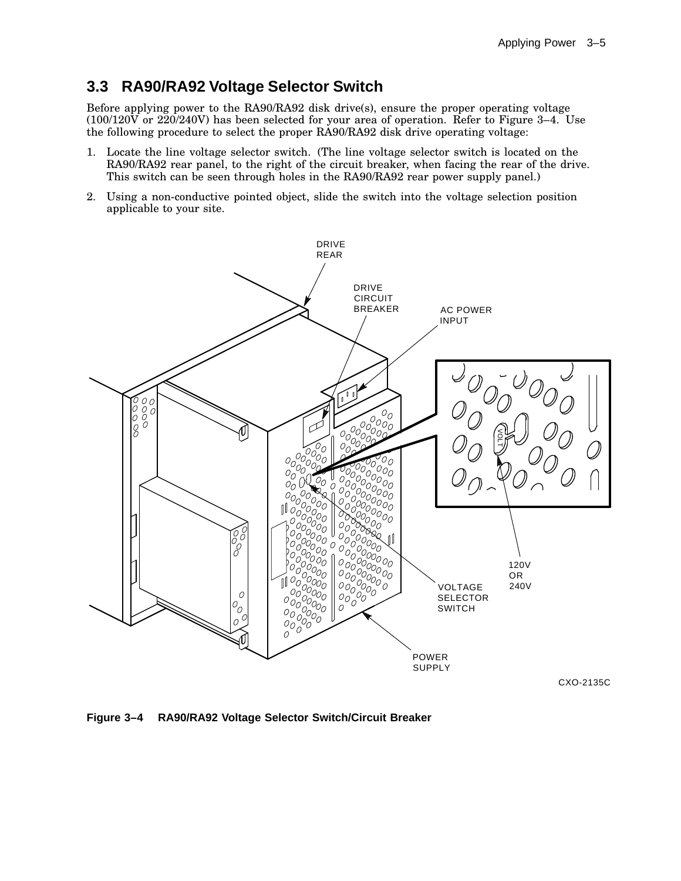# **3.3 RA90/RA92 Voltage Selector Switch**

Before applying power to the RA90/RA92 disk drive(s), ensure the proper operating voltage (100/120V or 220/240V) has been selected for your area of operation. Refer to Figure 3–4. Use the following procedure to select the proper RA90/RA92 disk drive operating voltage:

- 1. Locate the line voltage selector switch. (The line voltage selector switch is located on the RA90/RA92 rear panel, to the right of the circuit breaker, when facing the rear of the drive. This switch can be seen through holes in the RA90/RA92 rear power supply panel.)
- 2. Using a non-conductive pointed object, slide the switch into the voltage selection position applicable to your site.



**Figure 3–4 RA90/RA92 Voltage Selector Switch/Circuit Breaker**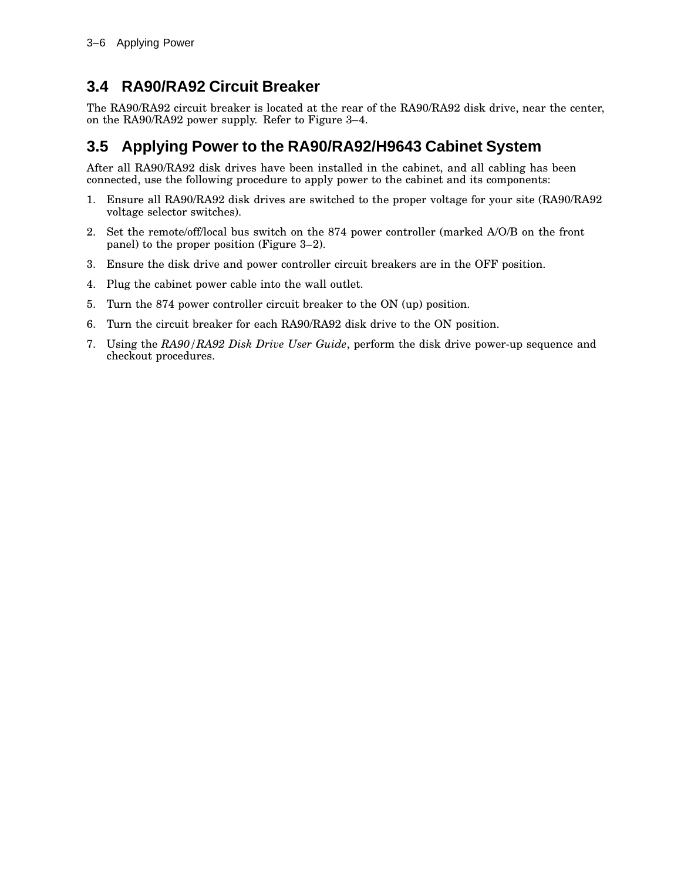# **3.4 RA90/RA92 Circuit Breaker**

The RA90/RA92 circuit breaker is located at the rear of the RA90/RA92 disk drive, near the center, on the RA90/RA92 power supply. Refer to Figure 3–4.

# **3.5 Applying Power to the RA90/RA92/H9643 Cabinet System**

After all RA90/RA92 disk drives have been installed in the cabinet, and all cabling has been connected, use the following procedure to apply power to the cabinet and its components:

- 1. Ensure all RA90/RA92 disk drives are switched to the proper voltage for your site (RA90/RA92 voltage selector switches).
- 2. Set the remote/off/local bus switch on the 874 power controller (marked A/O/B on the front panel) to the proper position (Figure 3–2).
- 3. Ensure the disk drive and power controller circuit breakers are in the OFF position.
- 4. Plug the cabinet power cable into the wall outlet.
- 5. Turn the 874 power controller circuit breaker to the ON (up) position.
- 6. Turn the circuit breaker for each RA90/RA92 disk drive to the ON position.
- 7. Using the *RA90/RA92 Disk Drive User Guide*, perform the disk drive power-up sequence and checkout procedures.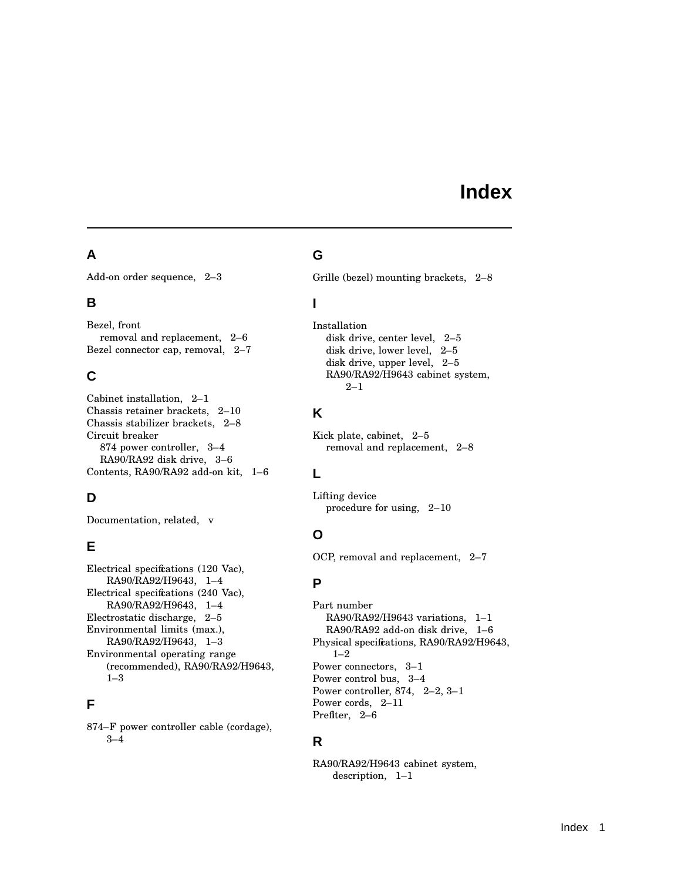# **Index**

## **A**

Add-on order sequence, 2–3

## **B**

Bezel, front removal and replacement, 2–6 Bezel connector cap, removal, 2–7

## **C**

Cabinet installation, 2–1 Chassis retainer brackets, 2–10 Chassis stabilizer brackets, 2–8 Circuit breaker 874 power controller, 3–4 RA90/RA92 disk drive, 3–6 Contents, RA90/RA92 add-on kit, 1–6

# **D**

Documentation, related, v

# **E**

Electrical specifications (120 Vac), RA90/RA92/H9643, 1–4 Electrical specifications (240 Vac), RA90/RA92/H9643, 1–4 Electrostatic discharge, 2–5 Environmental limits (max.), RA90/RA92/H9643, 1–3 Environmental operating range (recommended), RA90/RA92/H9643, 1–3

# **F**

874–F power controller cable (cordage), 3–4

## **G**

Grille (bezel) mounting brackets, 2–8

# **I**

Installation disk drive, center level, 2–5 disk drive, lower level, 2–5 disk drive, upper level, 2–5 RA90/RA92/H9643 cabinet system, 2–1

# **K**

Kick plate, cabinet, 2–5 removal and replacement, 2–8

## **L**

Lifting device procedure for using, 2–10

# **O**

OCP, removal and replacement, 2–7

# **P**

Part number RA90/RA92/H9643 variations, 1–1 RA90/RA92 add-on disk drive, 1–6 Physical specifications, RA90/RA92/H9643, 1–2 Power connectors, 3–1 Power control bus, 3–4 Power controller, 874, 2–2, 3–1 Power cords, 2–11 Prefiter, 2-6

## **R**

RA90/RA92/H9643 cabinet system, description, 1–1